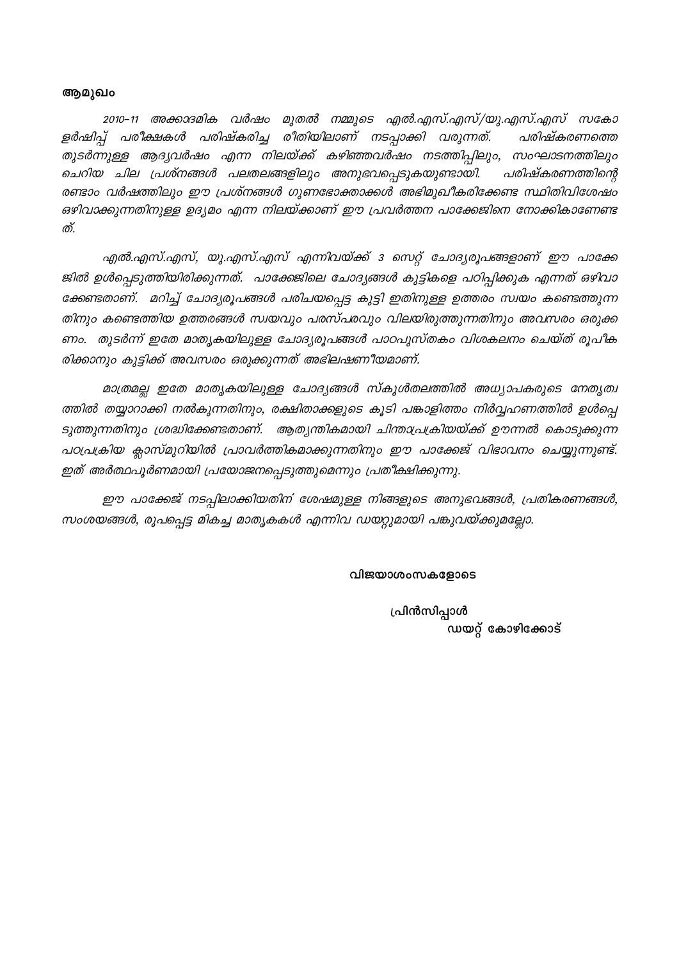#### ആമുഖം

2010–11 അക്കാദമിക വർഷം മുതൽ നമ്മുടെ എൽ.എസ്.എസ്/യു.എസ്.എസ് സകോ ളർഷിപ്പ് പരീക്ഷകൾ പരിഷ്കരിച്ച രീതിയിലാണ് നടപ്പാക്കി വരുന്നത്. പരിഷ്കരണത്തെ തുടർന്നുള്ള ആദ്യവർഷം എന്ന നിലയ്ക്ക് കഴിഞ്ഞവർഷം നടത്തിപ്പിലും, സംഘാടനത്തിലും ചെറിയ ചില പ്രശ്നങ്ങൾ പലതലങ്ങളിലും അനുഭവപ്പെടുകയുണ്ടായി. പരിഷ്കരണത്തിന്റെ രണ്ടാം വർഷത്തിലും ഈ പ്രശ്നങ്ങൾ ഗുണഭോക്താക്കൾ അഭിമുഖീകരിക്കേണ്ട സ്ഥിതിവിശേഷം ഒഴിവാക്കുന്നതിനുള്ള ഉദ്യമം എന്ന നിലയ്ക്കാണ് ഈ പ്രവർത്തന പാക്കേജിനെ നോക്കികാണേണ്ട ത്.

എൽ.എസ്.എസ്, യു.എസ്.എസ് എന്നിവയ്ക്ക് 3 സെറ്റ് ചോദ്യരൂപങ്ങളാണ് ഈ പാക്കേ ജിൽ ഉൾപ്പെടുത്തിയിരിക്കുന്നത്. പാക്കേജിലെ ചോദ്യങ്ങൾ കുട്ടികളെ പഠിപ്പിക്കുക എന്നത് ഒഴിവാ ക്കേണ്ടതാണ്. മറിച്ച് ചോദ്യരൂപങ്ങൾ പരിചയപ്പെട്ട കുട്ടി ഇതിനുള്ള ഉത്തരം സ്വയം കണ്ടെത്തുന്ന തിനും കണ്ടെത്തിയ ഉത്തരങ്ങൾ സ്വയവും പരസ്പരവും വിലയിരുത്തുന്നതിനും അവസരം ഒരുക്ക ണം. തുടർന്ന് ഇതേ മാതൃകയിലുള്ള ചോദ്യരൂപങ്ങൾ പാഠപുസ്തകം വിശകലനം ചെയ്ത് രൂപീക രിക്കാനും കുട്ടിക്ക് അവസരം ഒരുക്കുന്നത് അഭിലഷണീയമാണ്.

മാത്രമല്ല ഇതേ മാതൃകയിലുള്ള ചോദ്യങ്ങൾ സ്കൂൾതലത്തിൽ അധ്യാപകരുടെ നേതൃത്വ ത്തിൽ തയ്യാറാക്കി നൽകുന്നതിനും, രക്ഷിതാക്കളുടെ കൂടി പങ്കാളിത്തം നിർവ്വഹണത്തിൽ ഉൾപ്പെ ടുത്തുന്നതിനും ശ്രദ്ധിക്കേണ്ടതാണ്. ആത്യന്തികമായി ചിന്താപ്രക്രിയയ്ക്ക് ഊന്നൽ കൊടുക്കുന്ന പഠപ്രക്രിയ ക്ലാസ്മുറിയിൽ പ്രാവർത്തികമാക്കുന്നതിനും ഈ പാക്കേജ് വിഭാവനം ചെയ്യുന്നുണ്ട്. ഇത് അർത്ഥപൂർണമായി പ്രയോജനപ്പെടുത്തുമെന്നും പ്രതീക്ഷിക്കുന്നു.

ഈ പാക്കേജ് നടപ്പിലാക്കിയതിന് ശേഷമുള്ള നിങ്ങളുടെ അനുഭവങ്ങൾ, പ്രതികരണങ്ങൾ, സംശയങ്ങൾ, രൂപപ്പെട്ട മികച്ച മാതൃകകൾ എന്നിവ ഡയറ്റുമായി പങ്കുവയ്ക്കുമല്ലോ.

#### വിജയാശംസകളോടെ

പ്രിൻസിപ്പാൾ ഡയറ്റ് കോഴിക്കോട്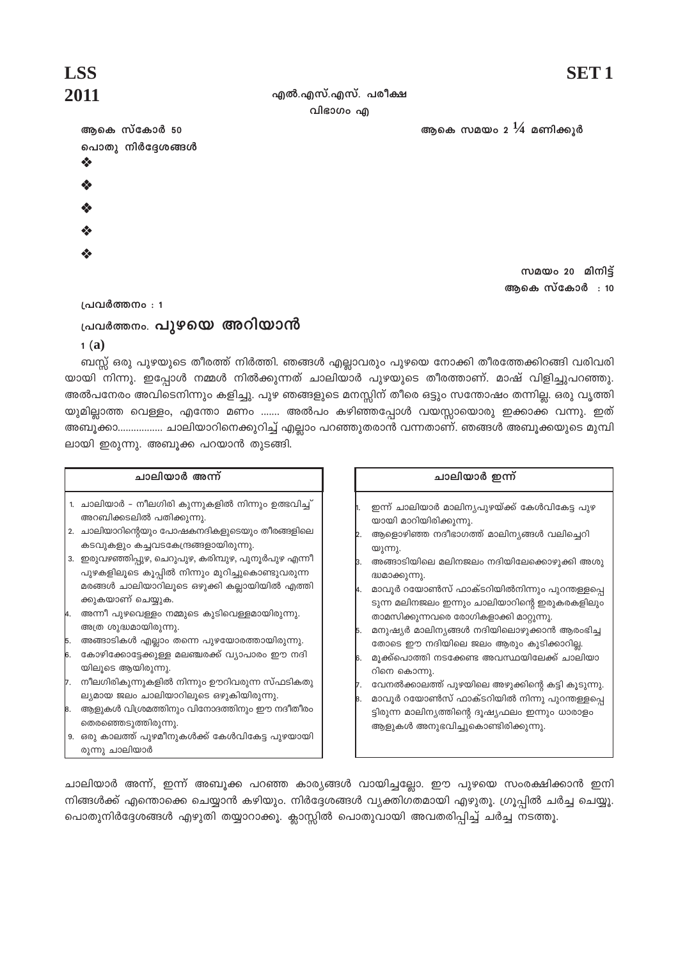#### എൽ.എസ്.എസ്. പരീക്ഷ വിഭാഗം എ

ആകെ സമയം 2 $\frac{1}{4}$  മണിക്കുർ

# **LSS** 2011

ആകെ സ്കോർ 50 പൊതു നിർദ്ദേശങ്ങൾ ❖

സമയം 20 മിനിട്ട് ആകെ സ്കോർ : 10

പ്രവർത്തനം : 1

# പ്രവർത്തനം. <mark>പുഴയെ അറിയാൻ</mark>

 $1(a)$ 

ബസ്സ് ഒരു പുഴയുടെ തീരത്ത് നിർത്തി. ഞങ്ങൾ എല്ലാവരും പുഴയെ നോക്കി തീരത്തേക്കിറങ്ങി വരിവരി യായി നിന്നു. ഇപ്പോൾ നമ്മൾ നിൽക്കുന്നത് ചാലിയാർ പുഴയുടെ തീരത്താണ്. മാഷ് വിളിച്ചുപറഞ്ഞു. അൽപനേരം അവിടെനിന്നും കളിച്ചു. പുഴ ഞങ്ങളുടെ മനസ്സിന് തീരെ ഒട്ടും സന്തോഷം തന്നില്ല. ഒരു വൃത്തി യുമില്ലാത്ത വെള്ളം, എന്തോ മണം ....... അൽപം കഴിഞ്ഞപ്പോൾ വയസ്സായൊരു ഇക്കാക്ക വന്നു. ഇത<mark>്</mark> അബൂക്കാ................. ചാലിയാറിനെക്കുറിച്ച് എല്ലാം പറഞ്ഞുതരാൻ വന്നതാണ്. ഞങ്ങൾ അബൂക്കയുടെ മുമ്പി ലായി ഇരുന്നു. അബൂക്ക പറയാൻ തുടങ്ങി.

#### ചാലിയാർ അന്ന്

- 1. ചാലിയാർ നീലഗിരി കുന്നുകളിൽ നിന്നും ഉത്ഭവിച്ച് അറബിക്കടലിൽ പതിക്കുന്നു.
- 2. ചാലിയാറിന്റെയും പോഷകനദികളുടെയും തീരങ്ങളിലെ കടവുകളും കച്ചവടകേന്ദ്രങ്ങളായിരുന്നു.
- 3. ഇരുവഴഞ്ഞിപ്പുഴ, ചെറുപുഴ, കരിമ്പുഴ, പൂനൂർപുഴ എന്നീ പുഴകളിലൂടെ കൂപ്പിൽ നിന്നും മുറിച്ചുകൊണ്ടുവരുന്ന മരങ്ങൾ ചാലിയാറിലൂടെ ഒഴുക്കി കല്ലായിയിൽ എത്തി ക്കുകയാണ് ചെയ്യുക.
- i. അന്നീ പുഴവെള്ളം നമ്മുടെ കുടിവെള്ളമായിരുന്നു. അത്ര ശുദ്ധമായിരുന്നു.
- . അങ്ങാടികൾ എല്ലാം തന്നെ പുഴയോരത്തായിരുന്നു.
- i. കോഴിക്കോട്ടേക്കുള്ള മലഞ്ചരക്ക് വ്യാപാരം ഈ നദി യിലുടെ ആയിരുന്നു.
- ,<br>7. നീലഗിരികുന്നുകളിൽ നിന്നും ഊറിവരുന്ന സ്ഫടികതു ല്യമായ ജലം ചാലിയാറിലൂടെ ഒഴുകിയിരുന്നു.
- .<br>8. ആളുകൾ വിശ്രമത്തിനും വിനോദത്തിനും ഈ നദീതീരം തെരഞ്ഞെടുത്തിരുന്നു.
- 9. ഒരു കാലത്ത് പുഴമീനുകൾക്ക് കേൾവികേട്ട പുഴയായി

രുന്നു ചാലിയാർ

ദ്ധമാക്കുന്നു. . മാവൂർ റയോൺസ് ഫാക്ടറിയിൽനിന്നു<mark>ം</mark> പുറന്തള്ളപ്പെ ടുന്ന മലിനജലം ഇന്നും ചാലിയാറിന്റെ ഇരുകരകളിലും താമസിക്കുന്നവരെ രോഗികളാക്കി മാറ്റുന്നു. .<br>b. മനുഷ്യർ മാലിന്യങ്ങൾ നദിയിലൊഴുക്കാൻ ആരംഭിച്ച തോടെ ഈ നദിയിലെ ജലം ആരും കുടിക്കാറില്ല. s. മുക്ക്പൊത്തി നടക്കേണ്ട അവസ്ഥയിലേക്ക് ചാലിയാ

അങ്ങാടിയിലെ മലിനജലം നദിയിലേക്കൊഴുക്കി അശു

ചാലിയാർ ഇന്ന്

യായി മാറിയിരിക്കുന്നു.

യുന്നു.

ഇന്ന് ചാലിയാർ മാലിന്യപുഴയ്ക്ക് കേൾവികേട്ട പുഴ

ആളൊഴിഞ്ഞ നദീഭാഗത്ത് മാലിന്യങ്ങൾ വലിച്ചെറി

- റിനെ കൊന്നു.
- വേനൽക്കാലത്ത് പുഴയിലെ അഴുക്കിന്റെ കട്ടി കൂടുന്നു.
- മാവൂർ റയോൺസ് ഫാക്ടറിയിൽ നിന്നു പുറന്തള്ളപ്പെ ട്ടിരുന്ന മാലിന്യത്തിന്റെ ദൂഷ്യഫലം ഇന്നും ധാരാളം

ആളുകൾ അനുഭവിച്ചുകൊണ്ടിരിക്കുന്നു.

ചാലിയാർ അന്ന്, ഇന്ന് അബൂക്ക പറഞ്ഞ കാര്യങ്ങൾ വായിച്ചല്ലോ. ഈ പുഴയെ സംരക്ഷിക്കാൻ ഇനി നിങ്ങൾക്ക് എന്തൊക്കെ ചെയ്യാൻ കഴിയും. നിർദ്ദേശങ്ങൾ വ്യക്തിഗതമായി എഴുതൂ. ഗ്രൂപ്പിൽ ചർച്ച ചെയ്യു. പൊതുനിർദ്ദേശങ്ങൾ എഴുതി തയ്യാറാക്കൂ. ക്ലാസ്സിൽ പൊതുവായി അവതരിപ്പിച്ച് ചർച്ച നടത്തൂ.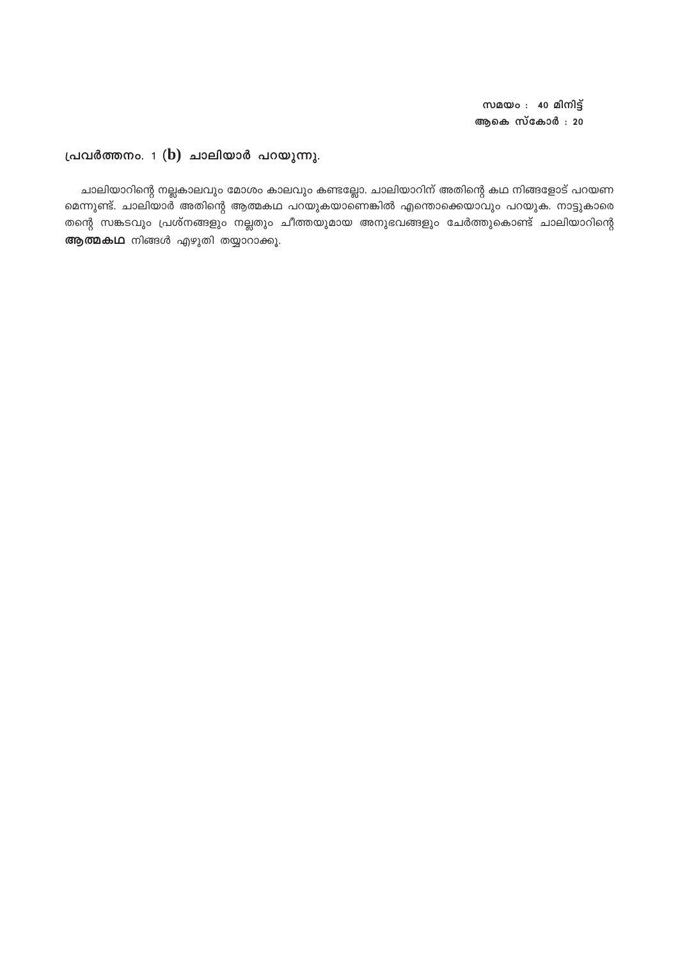സമയം $: 40$  മിനിട്ട് ആകെ സ്കോർ : 20

#### പ്രവർത്തനം.  $1$  (b) ചാലിയാർ പറയുന്നു.

ചാലിയാറിന്റെ നല്ലകാലവും മോശം കാലവും കണ്ടല്ലോ. ചാലിയാറിന് അതിന്റെ കഥ നിങ്ങളോട് പറയണ മെന്നുണ്ട്. ചാലിയാർ അതിന്റെ ആത്മകഥ പറയുകയാണെങ്കിൽ എന്തൊക്കെയാവും പറയുക. നാട്ടുകാരെ തന്റെ സങ്കടവും പ്രശ്നങ്ങളും നല്ലതും ചീത്തയുമായ അനുഭവങ്ങളും ചേർത്തുകൊണ്ട് ചാലിയാറിന്റെ ആത്മകഥ നിങ്ങൾ എഴുതി തയ്യാറാക്കൂ.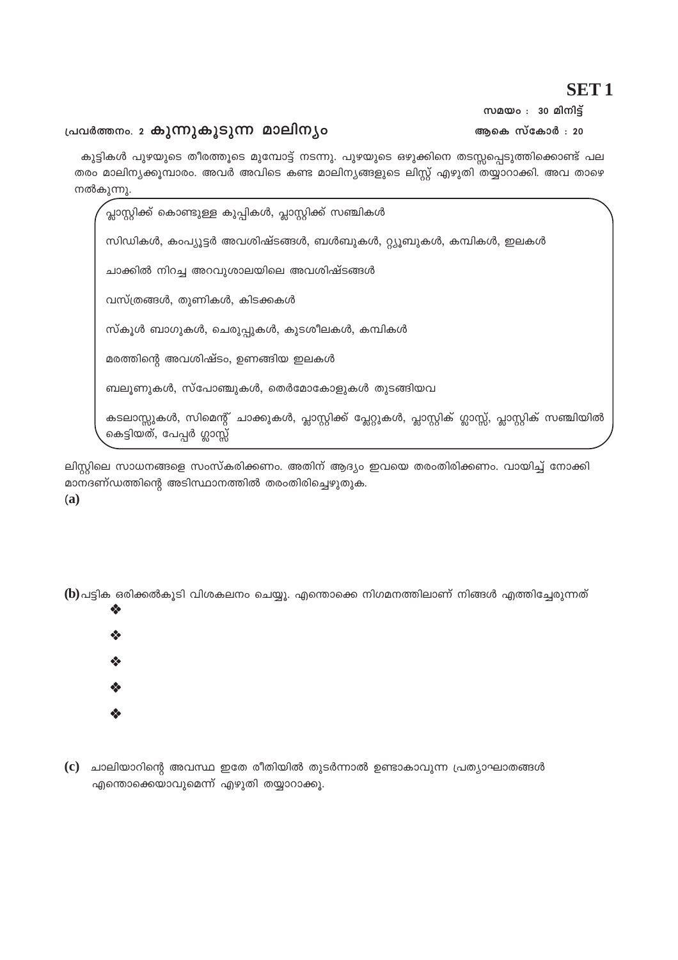## **SET1**

സമയം $: 30$  മിനിട്

ആകെ സ്കോർ : 20

#### പ്രവർത്തനം. 2 കുന്നുകൂടുന്ന മാലിനൃം

കുട്ടികൾ പുഴയുടെ തീരത്തൂടെ മുമ്പോട്ട് നടന്നു. പുഴയുടെ ഒഴുക്കിനെ തടസ്സപ്പെടുത്തിക്കൊണ്ട് പല തരം മാലിന്യക്കൂമ്പാരം. അവർ അവിടെ കണ്ട മാലിന്യങ്ങളുടെ ലിസ്റ്റ് എഴുതി തയ്യാറാക്കി. അവ താഴെ നൽകുന്നു.

⁄<br>പ്ലാസ്റ്റിക്ക് കൊണ്ടുള്ള കുപ്പികൾ, പ്ലാസ്റ്റിക്ക് സഞ്ചികൾ സിഡികൾ, കംപ്യൂട്ടർ അവശിഷ്ടങ്ങൾ, ബൾബുകൾ, റ്റ്യൂബുകൾ, കമ്പികൾ, ഇലകൾ ചാക്കിൽ നിറച്ച അറവുശാലയിലെ അവശിഷ്ടങ്ങൾ വസ്ത്രങ്ങൾ, തുണികൾ, കിടക്കകൾ സ്കൂൾ ബാഗുകൾ, ചെരുപ്പുകൾ, കുടശീലകൾ, കമ്പികൾ മരത്തിന്റെ അവശിഷ്ടം, ഉണങ്ങിയ ഇലകൾ ബലൂണുകൾ, സ്പോഞ്ചുകൾ, തെർമോകോളുകൾ തുടങ്ങിയവ കടലാസ്സുകൾ, സിമെന്റ് ചാക്കുകൾ, പ്ലാസ്റ്റിക്ക് പ്ലേറ്റുകൾ, പ്ലാസ്റ്റിക് ഗ്ലാസ്സ്, പ്ലാസ്റ്റിക് സഞ്ചിയിൽ കെട്ടിയത്, പേപ്പർ ഗ്ലാസ്സ്

ലിസ്റ്റിലെ സാധനങ്ങളെ സംസ്കരിക്കണം. അതിന് ആദ്യം ഇവയെ തരംതിരിക്കണം. വായിച്ച് നോക്കി മാനദണ്ഡത്തിന്റെ അടിസ്ഥാനത്തിൽ തരംതിരിച്ചെഴുതുക.

 $(b)$ പട്ടിക ഒരിക്കൽകുടി വിശകലനം ചെയ്യു. എന്തൊക്കെ നിഗമനത്തിലാണ് നിങ്ങൾ എത്തിച്ചേരുന്നത്



 $(a)$ 

 $\mathbf c$ ) ചാലിയാറിന്റെ അവസ്ഥ ഇതേ രീതിയിൽ തുടർന്നാൽ ഉണ്ടാകാവുന്ന പ്രത്യാഘാതങ്ങൾ എന്തൊക്കെയാവുമെന്ന് എഴുതി തയ്യാറാക്കു.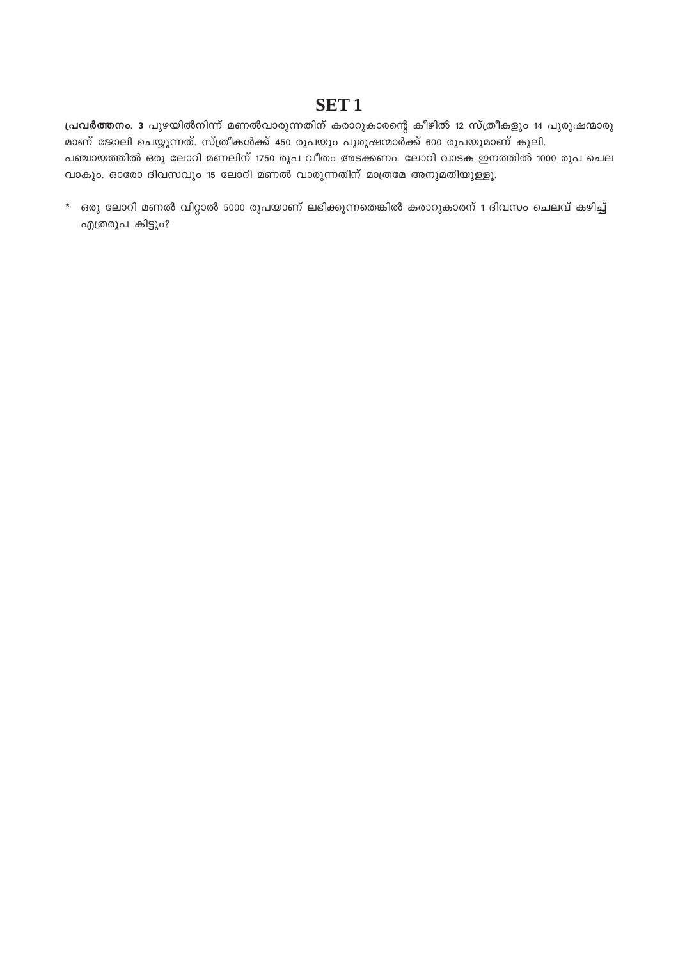## **SET1**

പ്രവർത്തനം. 3 പുഴയിൽനിന്ന് മണൽവാരുന്നതിന് കരാറുകാരന്റെ കീഴിൽ 12 സ്ത്രീകളും 14 പുരുഷന്മാരു മാണ് ജോലി ചെയ്യുന്നത്. സ്ത്രീകൾക്ക് 450 രൂപയും പുരുഷന്മാർക്ക് 600 രൂപയുമാണ് കൂലി. പഞ്ചായത്തിൽ ഒരു ലോറി മണലിന് 1750 രൂപ വീതം അടക്കണം. ലോറി വാടക ഇനത്തിൽ 1000 രൂപ ചെല വാകും. ഓരോ ദിവസവും 15 ലോറി മണൽ വാരുന്നതിന് മാത്രമേ അനുമതിയുള്ളൂ.

\* ഒരു ലോറി മണൽ വിറ്റാൽ 5000 രൂപയാണ് ലഭിക്കുന്നതെങ്കിൽ കരാറുകാരന് 1 ദിവസം ചെലവ് കഴിച്ച് എത്രരൂപ കിട്ടും?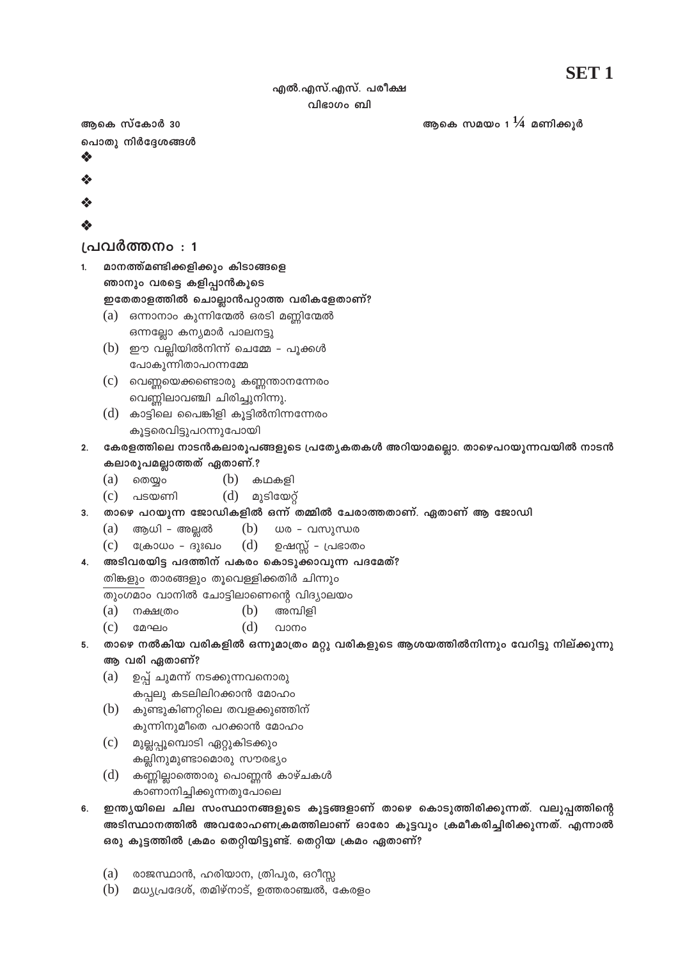### എൽ.എസ്.എസ്. പരീക്ഷ വിഭാഗം ബി

ആകെ സമയം 1 $\frac{1}{4}$  മണിക്കുർ

ആകെ സ്കോർ 30 പൊതു നിർദ്ദേശങ്ങൾ ❖

- 
- ❖
- 
- 

## പ്രവർത്തനം : 1

- മാനത്ത്മണ്ടിക്കളിക്കും കിടാങ്ങളെ  $\mathbf{1}$ ഞാനും വരട്ടെ കളിപ്പാൻകൂടെ ഇതേതാളത്തിൽ ചൊല്ലാൻപറ്റാത്ത വരികളേതാണ്?  $(a)$  ഒന്നാനാം കുന്നിന്മേൽ ഒരടി മണ്ണിന്മേൽ
	- ഒന്നല്ലോ കന്യമാർ പാലനട്ടു
	- $(b)$  ഈ വല്ലിയിൽനിന്ന് ചെമ്മേ പൂക്കൾ പോകുന്നിതാപറന്നമ്മേ
	- $(c)$  വെണ്ണയെക്കണ്ടൊരു കണ്ണന്താനന്നേരം വെണ്ണിലാവഞ്ചി ചിരിച്ചുനിന്നു.
	- $(d)$  കാട്ടിലെ പൈങ്കിളി കൂട്ടിൽനിന്നന്നേരം കുട്ടരെവിട്ടുപറന്നുപോയി
- കേരളത്തിലെ നാടൻകലാരൂപങ്ങളുടെ പ്രത്യേകതകൾ അറിയാമല്ലൊ. താഴെപറയുന്നവയിൽ നാടൻ  $2<sup>1</sup>$ കലാരൂപമല്ലാത്തത് ഏതാണ്.?
	- തെയ്യം  $(a)$ (b) കഥകളി
	- $(d)$  മുടിയേറ്റ്  $(c)$  പടയണി
- താഴെ പറയുന്ന ജോഡികളിൽ ഒന്ന് തമ്മിൽ ചേരാത്തതാണ്. ഏതാണ് ആ ജോഡി  $\overline{3}$ .
	- ആധി അല്ലൽ  $(b)$ ധര - വസുന്ധര  $(a)$
	- ക്രോധം ദുഃഖം  $(d)$ ഉഷസ്സ് - പ്രഭാതം  $(c)$
- അടിവരയിട്ട പദത്തിന് പകരം കൊടുക്കാവുന്ന പദമേത്? 4.

തിങ്കളും താരങ്ങളും തൂവെള്ളിക്കതിർ ചിന്നും

- തുംഗമാം വാനിൽ ചോട്ടിലാണെന്റെ വിദ്യാലയം
- $(a)$ നക്ഷത്രം (b) അമ്പിളി
- $(c)$ മേഘം (d) വാനം
- താഴെ നൽകിയ വരികളിൽ ഒന്നുമാത്രം മറ്റു വരികളുടെ ആശയത്തിൽനിന്നും വേറിട്ടു നില്ക്കുന്നു 5.
	- ആ വരി ഏതാണ്?
	- ഉപ്പ് ചുമന്ന് നടക്കുന്നവനൊരു  $(a)$ കപ്പലു കടലിലിറക്കാൻ മോഹം
	- $(b)$  കുണ്ടുകിണറ്റിലെ തവളക്കുഞ്ഞിന് കുന്നിനുമീതെ പറക്കാൻ മോഹം
	- (c) മുല്ലപ്പൂമ്പൊടി ഏറ്റുകിടക്കും കല്ലിനുമുണ്ടാമൊരു സൗരഭ്യം
	- $(d)$  കണ്ണില്ലാത്തൊരു പൊണ്ണൻ കാഴ്ചകൾ കാണാനിച്ചിക്കുന്നതുപോലെ
- ഇന്ത്യയിലെ ചില സംസ്ഥാനങ്ങളുടെ കൂട്ടങ്ങളാണ് താഴെ കൊടുത്തിരിക്കുന്നത്. വലുപ്പത്തിന്റെ 6. അടിസ്ഥാനത്തിൽ അവരോഹണക്രമത്തിലാണ് ഓരോ കൂട്ടവും ക്രമീകരിച്ചിരിക്കുന്നത്. എന്നാൽ ഒരു കൂട്ടത്തിൽ ക്രമം തെറ്റിയിട്ടുണ്ട്. തെറ്റിയ ക്രമം ഏതാണ്?
	- (a) രാജസ്ഥാൻ, ഹരിയാന, ത്രിപുര, ഒറീസ്റ്റ
	- $(b)$  മധ്യപ്രദേശ്, തമിഴ്നാട്, ഉത്തരാഞ്ചൽ, കേരളം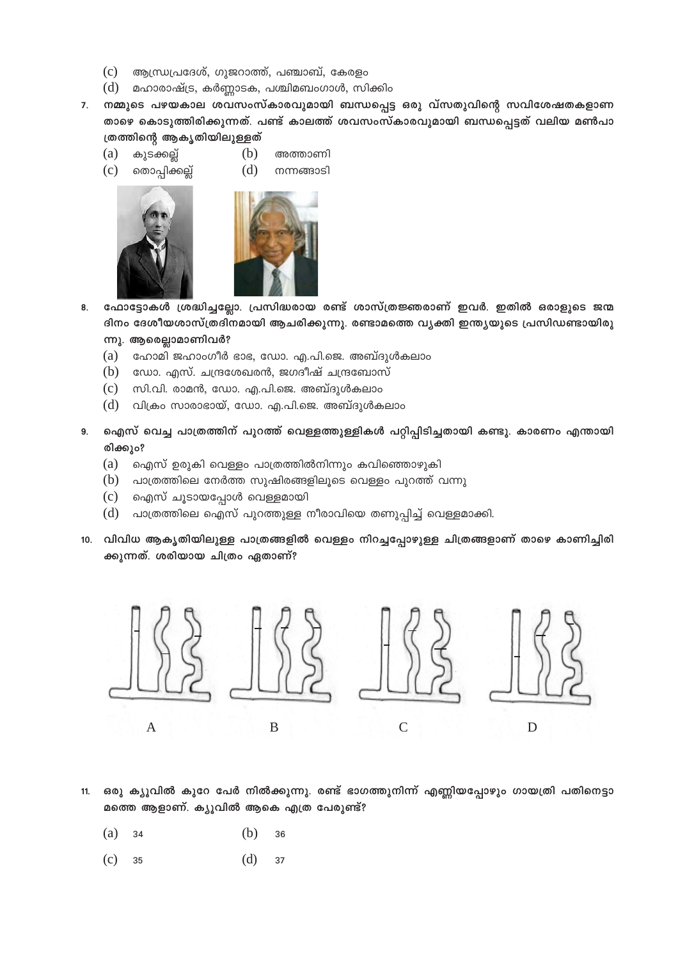- $(c)$ ആന്ധ്രപ്രദേശ്, ഗുജറാത്ത്, പഞ്ചാബ്, കേരളം
- $(d)$  മഹാരാഷ്ട്ര, കർണ്ണാടക, പശ്ചിമബംഗാൾ, സിക്കിം
- 7. നമ്മുടെ പഴയകാല ശവസംസ്കാരവുമായി ബന്ധപ്പെട്ട ഒരു വ്സതുവിന്റെ സവിശേഷതകളാണ താഴെ കൊടുത്തിരിക്കുന്നത്. പണ്ട് കാലത്ത് ശവസംസ്കാരവുമായി ബന്ധപ്പെട്ടത് വലിയ മൺപാ ത്രത്തിന്റെ ആകൃതിയിലുള്ളത്
	- $(a)$ കുടക്കല്ല് തൊപ്പിക്കല്ല്
		- (b) അത്താണി  $(d)$ നന്നങ്ങാടി
		-

 $(c)$ 



- ഫോട്ടോകൾ ശ്രദ്ധിച്ചല്ലോ. പ്രസിദ്ധരായ രണ്ട് ശാസ്ത്രജ്ഞരാണ് ഇവർ. ഇതിൽ ഒരാളുടെ ജന്മ 8. ദിനം ദേശീയശാസ്ത്രദിനമായി ആചരിക്കുന്നു. രണ്ടാമത്തെ വ്യക്തി ഇന്ത്യയുടെ പ്രസിഡണ്ടായിരു
	- ന്നു. ആരെല്ലാമാണിവർ?
	- (a) ഹോമി ജഹാംഗീർ ഭാഭ, ഡോ. എ.പി.ജെ. അബ്ദുൾകലാം
	- $(b)$  ഡോ. എസ്. ചന്ദ്രശേഖരൻ, ജഗദീഷ് ചന്ദ്രബോസ്
	- (c) സി.വി. രാമൻ, ഡോ. എ.പി.ജെ. അബ്ദുൾകലാം
	- (d) വിക്രം സാരാഭായ്, ഡോ. എ.പി.ജെ. അബ്ദുൾകലാം
- ഐസ് വെച്ച പാത്രത്തിന് പുറത്ത് വെള്ളത്തുള്ളികൾ പറ്റിപ്പിടിച്ചതായി കണ്ടു. കാരണം എന്തായി  $9.$ രിക്കും?
	- $(a)$ ഐസ് ഉരുകി വെള്ളം പാത്രത്തിൽനിന്നും കവിഞ്ഞൊഴുകി
	- $(b)$  പാത്രത്തിലെ നേർത്ത സുഷിരങ്ങളിലൂടെ വെള്ളം പുറത്ത് വന്നു
	- (c) ഐസ് ചൂടായപ്പോൾ വെള്ളമായി
	- പാത്രത്തിലെ ഐസ് പുറത്തുള്ള നീരാവിയെ തണുപ്പിച്ച് വെള്ളമാക്കി.  $(d)$
- 10. വിവിധ ആകൃതിയിലുള്ള പാത്രങ്ങളിൽ വെള്ളം നിറച്ചപ്പോഴുള്ള ചിത്രങ്ങളാണ് താഴെ കാണിച്ചിരി ക്കുന്നത്. ശരിയായ ചിത്രം ഏതാണ്?



- ഒരു ക്യൂവിൽ കുറേ പേർ നിൽക്കുന്നു. രണ്ട് ഭാഗത്തുനിന്ന് എണ്ണിയപ്പോഴും ഗായത്രി പതിനെട്ടാ  $11.$ മത്തെ ആളാണ്. ക്യൂവിൽ ആകെ എത്ര പേരുണ്ട്?
	- $(a)$ 34  $(b)$  $36$
	- $(d)$  $(c)$ 35 37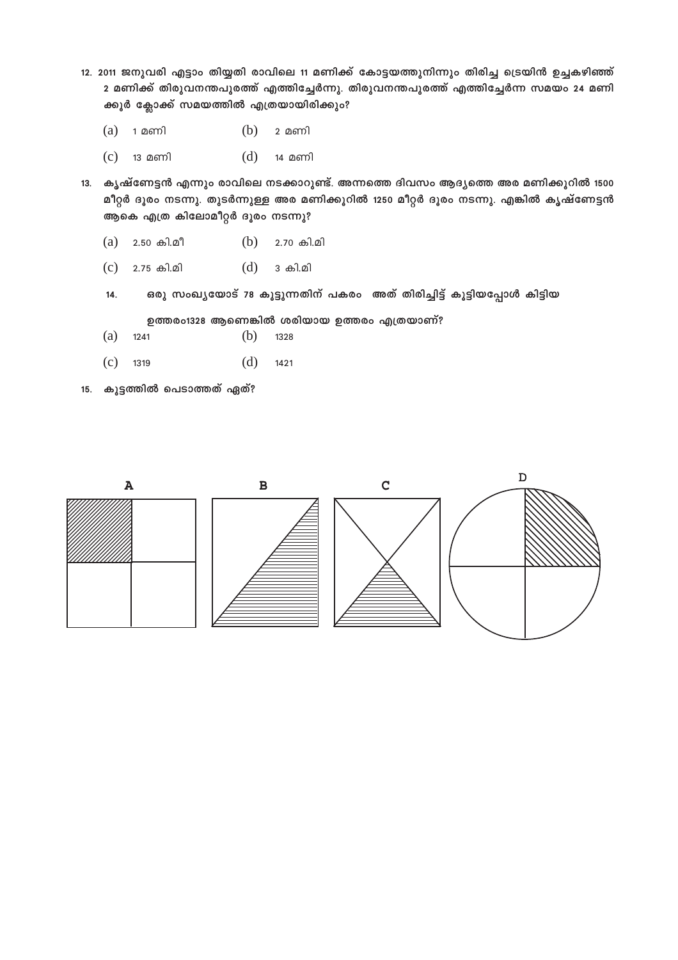- 12. 2011 ജനുവരി എട്ടാം തിയ്യതി രാവിലെ 11 മണിക്ക് കോട്ടയത്തുനിന്നും തിരിച്ച ട്രെയിൻ ഉച്ചകഴിഞ്ഞ് 2 മണിക്ക് തിരുവനന്തപുരത്ത് എത്തിച്ചേർന്നു. തിരുവനന്തപുരത്ത് എത്തിച്ചേർന്ന സമയം 24 മണി ക്കൂർ ക്ലോക്ക് സമയത്തിൽ എത്രയായിരിക്കും?
	- $(a)$  1 മണി  $(b)$  2 മണി
	- $(c)$  13 മണി  $(d)$  14 മണി
- 13. കൃഷ്ണേട്ടൻ എന്നും രാവിലെ നടക്കാറുണ്ട്. അന്നത്തെ ദിവസം ആദ്യത്തെ അര മണിക്കൂറിൽ 1500 മീറ്റർ ദൂരം നടന്നു. തുടർന്നുള്ള അര മണിക്കൂറിൽ 1250 മീറ്റർ ദൂരം നടന്നു. എങ്കിൽ കൃഷ്ണേട്ടൻ ആകെ എത്ര കിലോമീറ്റർ ദൂരം നടന്നു?
	- $(a)$  2.50 കി.മീ  $(b)$  2.70 കി.മി
	- $(c)$  2.75 കി.മി  $(d)$  3 കി.മി
	- 14. ഒരു സംഖൃയോട് 78 കൂട്ടുന്നതിന് പകരം അത് തിരിച്ചിട്ട് കൂട്ടിയപ്പോൾ കിട്ടിയ

ഉത്തരം1328 ആണെങ്കിൽ ശരിയായ ഉത്തരം എത്രയാണ്?

- (a) 1241 (b) 1328
- (c) 1319 (d) 1421
- 15. കൂട്ടത്തിൽ പെടാത്തത് ഏത്?

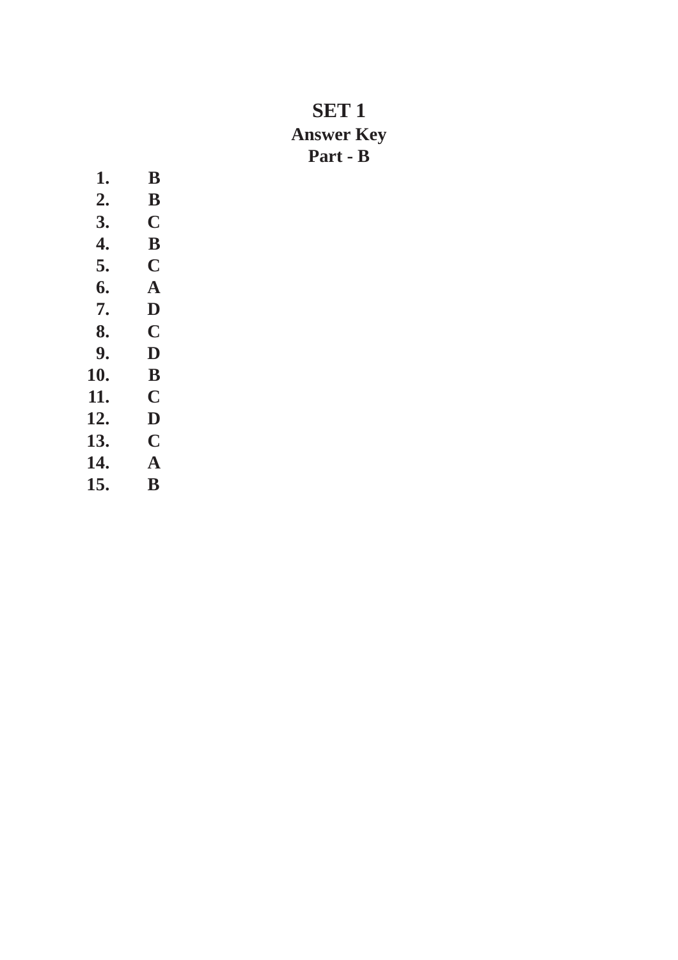# **SET 1 Answer Key Part - B**

| 1.  | B                       |
|-----|-------------------------|
| 2.  | B                       |
| 3.  | C                       |
| 4.  | B                       |
| 5.  | C                       |
| 6.  | $\bold{A}$              |
| 7.  | D                       |
| 8.  | C                       |
| 9.  | D                       |
| 10. | B                       |
| 11. | C                       |
| 12. | $\overline{\mathbf{D}}$ |
| 13. | C                       |
| 14. | A                       |
| 15. | $\bf{B}$                |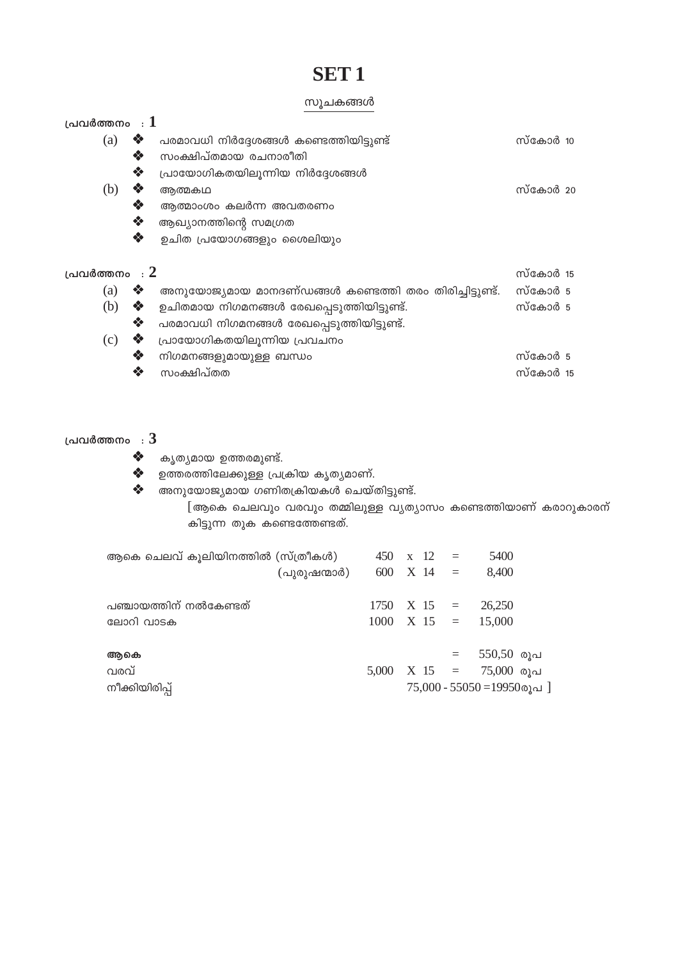# **SET1**

#### സൂചകങ്ങൾ

| പ്രവർത്തനം $\,$ : $1$ |   |                                                         |          |  |
|-----------------------|---|---------------------------------------------------------|----------|--|
| (a)                   | ❖ | പരമാവധി നിർദ്ദേശങ്ങൾ കണ്ടെത്തിയിട്ടുണ്ട്                | സ്കോർ 10 |  |
|                       | ❖ | സംക്ഷിപ്തമായ രചനാരീതി                                   |          |  |
|                       | ❖ | പ്രായോഗികതയിലുന്നിയ നിർദ്ദേശങ്ങൾ                        |          |  |
| (b)                   | ❖ | ആത്മകഥ                                                  | സ്കോർ 20 |  |
|                       | ❖ | ആത്മാംശം കലർന്ന അവതരണം                                  |          |  |
|                       | ❖ | ആഖ്യാനത്തിന്റെ സമഗ്രത                                   |          |  |
|                       | ❖ | ഉചിത പ്രയോഗങ്ങളും ശൈലിയും                               |          |  |
| പ്രവർത്തനം $: 2$      |   |                                                         | സ്കോർ 15 |  |
| (a)                   | ❖ | അനുയോജ്യമായ മാനദണ്ഡങ്ങൾ കണ്ടെത്തി തരം തിരിച്ചിട്ടുണ്ട്. | സ്കോർ 5  |  |
| (b)                   | ❖ | ഉചിതമായ നിഗമനങ്ങൾ രേഖപ്പെടുത്തിയിട്ടുണ്ട്.              | സ്കോർ 5  |  |
|                       | ❖ | പരമാവധി നിഗമനങ്ങൾ രേഖപ്പെടുത്തിയിട്ടുണ്ട്.              |          |  |
| (c)                   | ❖ | പ്രായോഗികതയിലൂന്നിയ പ്രവചനം                             |          |  |
|                       | ❖ | നിഗമനങ്ങളുമായുള്ള ബന്ധം                                 | സ്കോർ 5  |  |
|                       | ❖ | സംക്ഷിപ്തത                                              | സ്കോർ 15 |  |

#### പ്രവർത്തനം  $: 3$

- കൃത്യമായ ഉത്തരമുണ്ട്.  $\mathbf{e}^{\bullet}_{\mathbf{e}^{\bullet}}$
- $\clubsuit$  ഉത്തരത്തിലേക്കുള്ള പ്രക്രിയ കൃതൃമാണ്.
- ❖ അനുയോജ്യമായ ഗണിതക്രിയകൾ ചെയ്തിട്ടുണ്ട്.

[ആകെ ചെലവും വരവും തമ്മിലുള്ള വ്യത്യാസം കണ്ടെത്തിയാണ് കരാറുകാരന് കിട്ടുന്ന തുക കണ്ടെത്തേണ്ടത്.

| ആകെ ചെലവ് കൂലിയിനത്തിൽ (സ്ത്രീകൾ) |              | $450 \times 12 =$ |  | 5400                             |  |
|-----------------------------------|--------------|-------------------|--|----------------------------------|--|
|                                   | (പുരുഷന്മാർ) | $600 \times 14 =$ |  | 8,400                            |  |
| പഞ്ചായത്തിന് നൽകേണ്ടത്            |              |                   |  | $1750 \quad X \quad 15 = 26,250$ |  |
| ലോറി വാടക                         |              |                   |  | $1000 \quad X \quad 15 = 15,000$ |  |
| ആകെ                               |              |                   |  | $=$ 550,50 രൂപ                   |  |
| വരവ്                              |              |                   |  | $5,000$ X 15 = 75,000 രൂപ        |  |
| നീക്കിയിരിപ്പ്                    |              |                   |  | $75,000 - 55050 = 19950$ രൂപ]    |  |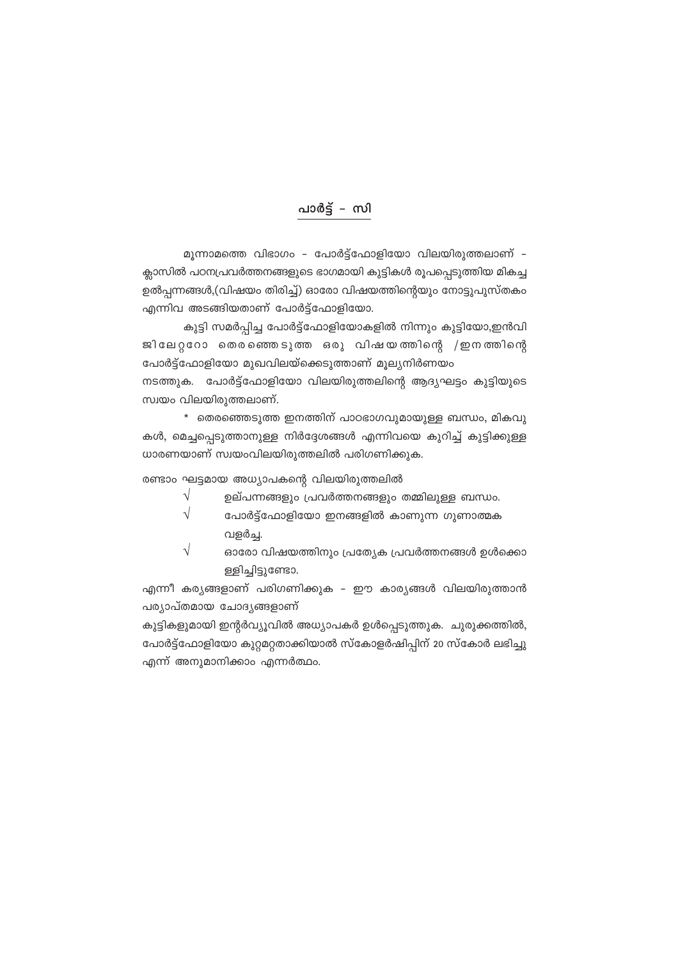## പാർട്ട് – സി

മൂന്നാമത്തെ വിഭാഗം - പോർട്ട്ഫോളിയോ വിലയിരുത്തലാണ് -ക്ലാസിൽ പഠനപ്രവർത്തനങ്ങളുടെ ഭാഗമായി കുട്ടികൾ രൂപപ്പെടുത്തിയ മികച്ച ഉൽപ്പന്നങ്ങൾ,(വിഷയം തിരിച്ച്) ഓരോ വിഷയത്തിന്റെയും നോട്ടുപുസ്തകം എന്നിവ അടങ്ങിയതാണ് പോർട്ട്ഫോളിയോ.

കുട്ടി സമർപ്പിച്ച പോർട്ട്ഫോളിയോകളിൽ നിന്നും കുട്ടിയോ,ഇൻവി ജിലേറ്ററോ തെരഞ്ഞെടുത്ത ഒരു വിഷയത്തിന്റെ /ഇനത്തിന്റെ പോർട്ട്ഫോളിയോ മുഖവിലയ്ക്കെടുത്താണ് മൂല്യനിർണയം

നടത്തുക. പോർട്ട്ഫോളിയോ വിലയിരുത്തലിന്റെ ആദ്യഘട്ടം കുട്ടിയുടെ സ്വയം വിലയിരുത്തലാണ്.

\* തെരഞ്ഞെടുത്ത ഇനത്തിന് പാഠഭാഗവുമായുള്ള ബന്ധം, മികവു കൾ, മെച്ചപ്പെടുത്താനുള്ള നിർദ്ദേശങ്ങൾ എന്നിവയെ കുറിച്ച് കുട്ടിക്കുള്ള ധാരണയാണ് സ്വയംവിലയിരുത്തലിൽ പരിഗണിക്കുക.

രണ്ടാം ഘട്ടമായ അധ്യാപകന്റെ വിലയിരുത്തലിൽ

- $\sqrt{}$ ഉല്പന്നങ്ങളും പ്രവർത്തനങ്ങളും തമ്മിലുള്ള ബന്ധം.
- $\sqrt{}$ പോർട്ട്ഫോളിയോ ഇനങ്ങളിൽ കാണുന്ന ഗുണാത്മക വളർച്ച.
- $\sqrt{}$ ഓരോ വിഷയത്തിനും പ്രത്യേക പ്രവർത്തനങ്ങൾ ഉൾക്കൊ ള്ളിച്ചിട്ടുണ്ടോ.

എന്നീ കര്യങ്ങളാണ് പരിഗണിക്കുക – ഈ കാര്യങ്ങൾ വിലയിരുത്താൻ പര്യാപ്തമായ ചോദ്യങ്ങളാണ്

കുട്ടികളുമായി ഇന്റർവ്യൂവിൽ അധ്യാപകർ ഉൾപ്പെടുത്തുക. ചുരുക്കത്തിൽ, പോർട്ട്ഫോളിയോ കുറ്റമറ്റതാക്കിയാൽ സ്കോളർഷിപ്പിന് 20 സ്കോർ ലഭിച്ചു എന്ന് അനുമാനിക്കാം എന്നർത്ഥം.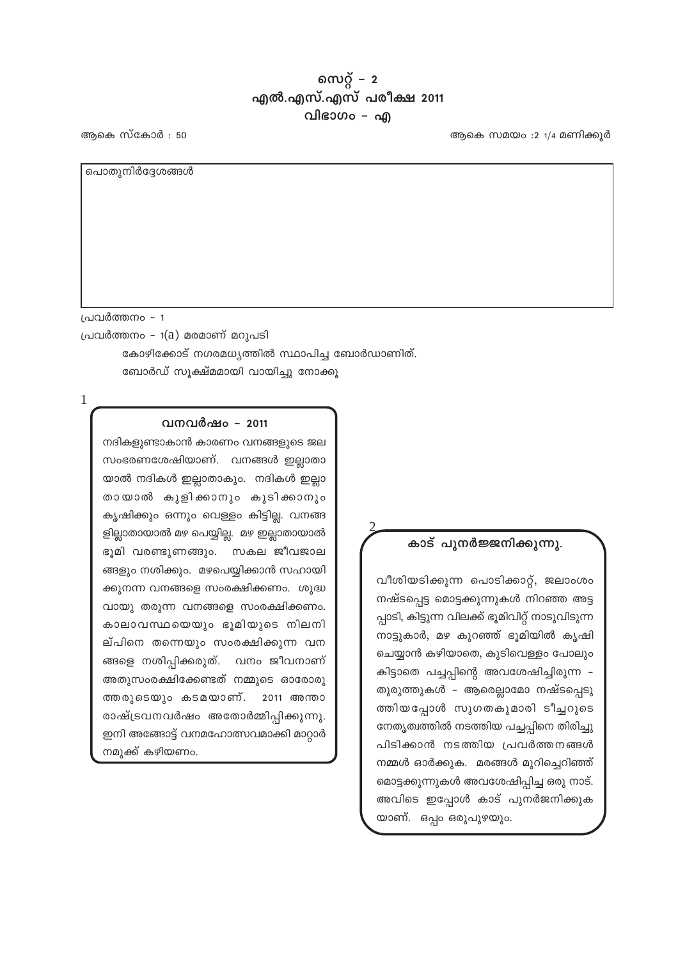### സെറ്റ് –  $2$ എൽ.എസ്.എസ് പരീക്ഷ 2011 വിഭാഗം – എ

ആകെ സ്കോർ : 50

ആകെ സമയം $: 2 \frac{1}{4}$  മണിക്കുർ

പൊതുനിർദ്ദേശങ്ങൾ

പ്രവർത്തനം – 1

പ്രവർത്തനം - 1(a) മരമാണ് മറുപടി

കോഴിക്കോട് നഗരമധ്യത്തിൽ സ്ഥാപിച്ച ബോർഡാണിത്. ബോർഡ് സൂക്ഷ്മമായി വായിച്ചു നോക്കൂ

 $\mathbf{1}$ 

#### വനവർഷം - 2011

നദികളുണ്ടാകാൻ കാരണം വനങ്ങളുടെ ജല സംഭരണശേഷിയാണ്. വനങ്ങൾ ഇല്ലാതാ യാൽ നദികൾ ഇല്ലാതാകും. നദികൾ ഇല്ലാ തായാൽ കുളിക്കാനും കുടിക്കാനും കൃഷിക്കും ഒന്നും വെള്ളം കിട്ടില്ല. വനങ്ങ ളില്ലാതായാൽ മഴ പെയ്യില്ല. മഴ ഇല്ലാതായാൽ ഭൂമി വരണ്ടുണങ്ങും. സകല ജീവജാല ങ്ങളും നശിക്കും. മഴപെയ്യിക്കാൻ സഹായി ക്കുനന്ന വനങ്ങളെ സംരക്ഷിക്കണം. ശുദ്ധ വായു തരുന്ന വനങ്ങളെ സംരക്ഷിക്കണം. കാലാവസ്ഥയെയും ഭൂമിയുടെ നിലനി ല്പിനെ തന്നെയും സംരക്ഷിക്കുന്ന വന ങ്ങളെ നശിപ്പിക്കരുത്. വനം ജീവനാണ് അതുസംരക്ഷിക്കേണ്ടത് നമ്മുടെ ഓരോരു ത്തരുടെയും കടമയാണ്. 2011 അന്താ രാഷ്ട്രവനവർഷം അതോർമ്മിപ്പിക്കുന്നു. ഇനി അങ്ങോട്ട് വനമഹോത്സവമാക്കി മാറ്റാർ നമുക്ക് കഴിയണം.

#### കാട് പുനർജ്ജനിക്കുന്നു.

വീശിയടിക്കുന്ന പൊടിക്കാറ്റ്, ജലാംശം നഷ്ടപ്പെട്ട മൊട്ടക്കുന്നുകൾ നിറഞ്ഞ അട്ട പ്പാടി, കിട്ടുന്ന വിലക്ക് ഭൂമിവിറ്റ് നാടുവിടുന്ന നാട്ടുകാർ, മഴ കുറഞ്ഞ് ഭൂമിയിൽ കൃഷി ചെയ്യാൻ കഴിയാതെ, കുടിവെള്ളം പോലും കിട്ടാതെ പച്ചപ്പിന്റെ അവശേഷിച്ചിരുന്ന – തുരുത്തുകൾ – ആരെല്ലാമോ നഷ്ടപ്പെടു ത്തിയപ്പോൾ സുഗതകുമാരി ടീച്ചറുടെ നേതൃത്വത്തിൽ നടത്തിയ പച്ചപ്പിനെ തിരിച്ചു പിടിക്കാൻ നടത്തിയ പ്രവർത്തനങ്ങൾ നമ്മൾ ഓർക്കുക. മരങ്ങൾ മുറിച്ചെറിഞ്ഞ് മൊട്ടക്കുന്നുകൾ അവശേഷിപ്പിച്ച ഒരു നാട്. അവിടെ ഇപ്പോൾ കാട് പുനർജനിക്കുക യാണ്. ഒപ്പം ഒരുപുഴയും.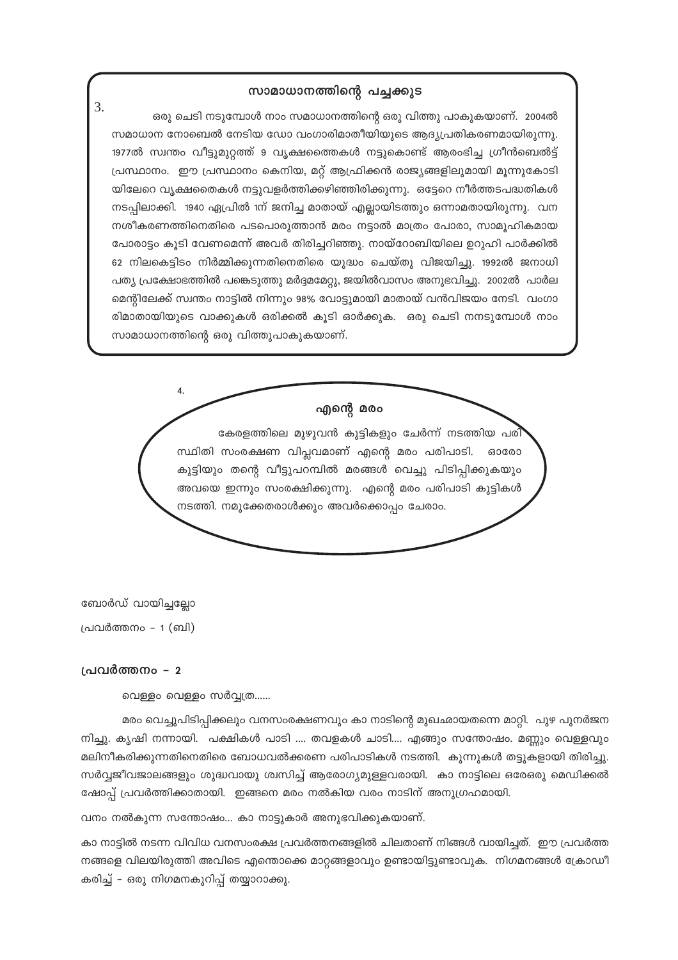#### സാമാധാനത്തിന്റെ പച്ചക്കുട

3. ഒരു ചെടി നടുമ്പോൾ നാം സമാധാനത്തിന്റെ ഒരു വിത്തു പാകുകയാണ്. 2004ൽ സമാധാന നോബെൽ നേടിയ ഡോ വംഗാരിമാതീയിയുടെ ആദ്യപ്രതികരണമായിരുന്നു. 1977ൽ സ്വന്തം വീട്ടുമുറ്റത്ത് 9 വൃക്ഷത്തൈകൾ നട്ടുകൊണ്ട് ആരംഭിച്ച ഗ്രീൻബെൽട്ട് പ്രസ്ഥാനം. ഈ പ്രസ്ഥാനം കെനിയ, മറ്റ് ആഫ്രിക്കൻ രാജ്യങ്ങളിലുമായി മൂന്നുകോടി യിലേറെ വൃക്ഷതൈകൾ നട്ടുവളർത്തിക്കഴിഞ്ഞിരിക്കുന്നു. ഒട്ടേറെ നീർത്തടപദ്ധതികൾ നടപ്പിലാക്കി. 1940 ഏപ്രിൽ 1ന് ജനിച്ച മാതായ് എല്ലായിടത്തും ഒന്നാമതായിരുന്നു. വന നശീകരണത്തിനെതിരെ പടപൊരുത്താൻ മരം നട്ടാൽ മാത്രം പോരാ, സാമുഹികമായ പോരാട്ടം കൂടി വേണമെന്ന് അവർ തിരിച്ചറിഞ്ഞു. നായ്റോബിയിലെ ഉറുഹി പാർക്കിൽ 62 നിലകെട്ടിടം നിർമ്മിക്കുന്നതിനെതിരെ യുദ്ധം ചെയ്തു വിജയിച്ചു. 1992ൽ ജനാധി പത്യ പ്രക്ഷോഭത്തിൽ പങ്കെടുത്തു മർദ്ദമമേറ്റു, ജയിൽവാസം അനുഭവിച്ചു. 2002ൽ പാർല മെന്റിലേക്ക് സ്വന്തം നാട്ടിൽ നിന്നും 98% വോട്ടുമായി മാതായ് വൻവിജയം നേടി. വംഗാ രിമാതായിയുടെ വാക്കുകൾ ഒരിക്കൽ കൂടി ഓർക്കുക. ഒരു ചെടി നനടുമ്പോൾ നാം സാമാധാനത്തിന്റെ ഒരു വിത്തുപാകുകയാണ്.

> എന്റെ മരം കേരളത്തിലെ മുഴുവൻ കുട്ടികളും ചേർന്ന് നടത്തിയ പരി സ്ഥിതി സംരക്ഷണ വിപ്ലവമാണ് എന്റെ മരം പരിപാടി. ഓരോ കുട്ടിയും തന്റെ വീട്ടുപറമ്പിൽ മരങ്ങൾ വെച്ചു പിടിപ്പിക്കുകയും അവയെ ഇന്നും സംരക്ഷിക്കുന്നു. എന്റെ മരം പരിപാടി കുട്ടികൾ നടത്തി. നമൂക്കേതരാൾക്കും അവർക്കൊപ്പം ചേരാം.

ബോർഡ് വായിച്ചല്ലോ

പ്രവർത്തനം - 1 (ബി)

#### പ്രവർത്തനം – 2

വെള്ളം വെള്ളം സർവ്വത്ര......

4.

മരം വെച്ചുപിടിപ്പിക്കലും വനസംരക്ഷണവും കാ നാടിന്റെ മുഖഛായതന്നെ മാറ്റി. പുഴ പുനർജന നിച്ചു. കൃഷി നന്നായി. പക്ഷികൾ പാടി .... തവളകൾ ചാടി.... എങ്ങും സന്തോഷം. മണ്ണും വെള്ളവും മലിനീകരിക്കുന്നതിനെതിരെ ബോധവൽക്കരണ പരിപാടികൾ നടത്തി. കുന്നുകൾ തട്ടുകളായി തിരിച്ചു. സർവ്വജീവജാലങ്ങളും ശുദ്ധവായു ശ്വസിച്ച് ആരോഗ്യമുള്ളവരായി. കാ നാട്ടിലെ ഒരേഒരു മെഡിക്കൽ ഷോപ് പ്രവർത്തിക്കാതായി. ഇങ്ങനെ മരം നൽകിയ വരം നാടിന് അനുഗ്രഹമായി.

വനം നൽകുന്ന സന്തോഷം... കാ നാട്ടുകാർ അനുഭവിക്കുകയാണ്.

കാ നാട്ടിൽ നടന്ന വിവിധ വനസംരക്ഷ പ്രവർത്തനങ്ങളിൽ ചിലതാണ് നിങ്ങൾ വായിച്ചത്. ഈ പ്രവർത്ത നങ്ങളെ വിലയിരുത്തി അവിടെ എന്തൊക്കെ മാറ്റങ്ങളാവും ഉണ്ടായിട്ടുണ്ടാവുക. നിഗമനങ്ങൾ ക്രോഡീ കരിച്ച് – ഒരു നിഗമനകുറിപ്പ് തയ്യാറാക്കു.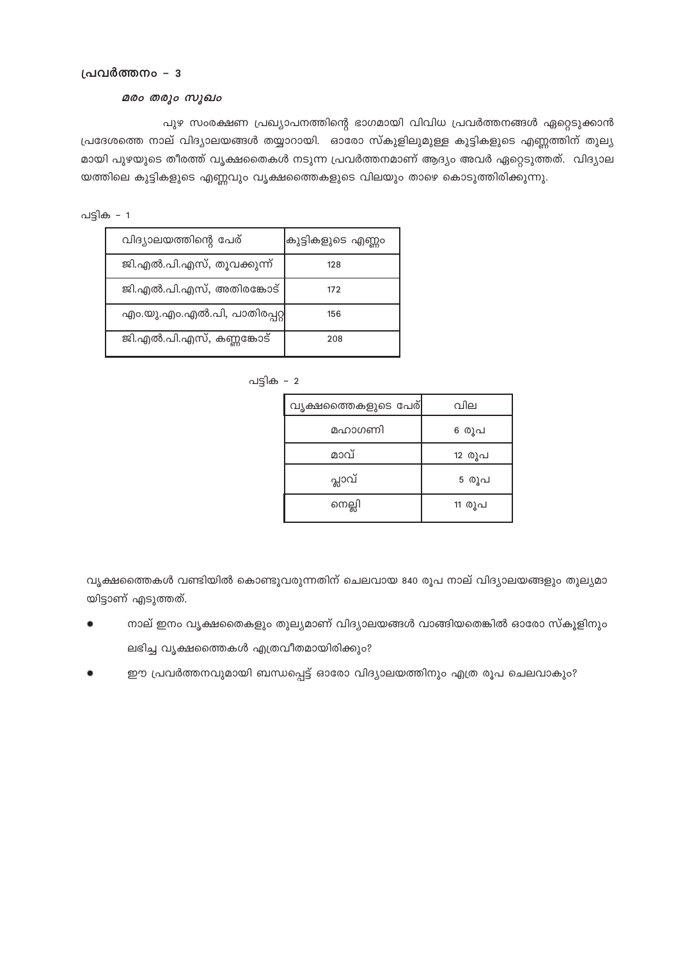#### പ്രവർത്തനം - 3

#### മരം തരും സുഖം

പുഴ സംരക്ഷണ പ്രഖ്യാപനത്തിന്റെ ഭാഗമായി വിവിധ പ്രവർത്തനങ്ങൾ ഏറ്റെടുക്കാൻ പ്രദേശത്തെ നാല് വിദ്യാലയങ്ങൾ തയ്യാറായി. ഓരോ സ്കുളിലുമുള്ള കുട്ടികളുടെ എണ്ണത്തിന് തുല്യ മായി പുഴയുടെ തീരത്ത് വൃക്ഷതൈകൾ നടുന്ന പ്രവർത്തനമാണ് ആദ്യം അവർ ഏറ്റെടുത്തത്. വിദ്യാല യത്തിലെ കുട്ടികളുടെ എണ്ണവും വൃക്ഷത്തൈകളുടെ വിലയും താഴെ കൊടുത്തിരിക്കുന്നു.

പട്ടിക - 1

| വിദ്യാലയത്തിന്റെ പേര്       | ക്രുട്ടികളുടെ എണ്ണം |
|-----------------------------|---------------------|
| ജി.എൽ.പി.എസ്, തൂവക്കുന്ന്   | 128                 |
| ജി.എൽ.പി.എസ്, അതിരങ്കോട്    | 172                 |
| എം.യു.എം.എൽ.പി, പാതിരപ്പറ്റ | 156                 |
| ജി.എൽ.പി.എസ്, കണ്ണങ്കോട്    | 208                 |

പട്ടിക – 2

| വൃക്ഷത്തൈകളുടെ പേര് | വില    |
|---------------------|--------|
| മഹാഗണി              | 6 രൂപ  |
| മാവ്                | 12 രൂപ |
| പ്ലാവ്              | 5 രൂപ  |
| നെല്ലി              | 11 രൂപ |

വൃക്ഷത്തൈകൾ വണ്ടിയിൽ കൊണ്ടുവരുന്നതിന് ചെലവായ 840 രൂപ നാല് വിദ്യാലയങ്ങളും തുല്യമാ യിട്ടാണ് എടുത്തത്.

- നാല് ഇനം വൃക്ഷതൈകളും തുല്യമാണ് വിദ്യാലയങ്ങൾ വാങ്ങിയതെങ്കിൽ ഓരോ സ്കൂളിനും ലഭിച്ച വൃക്ഷത്തൈകൾ എത്രവീതമായിരിക്കും?
- ഈ പ്രവർത്തനവുമായി ബന്ധപ്പെട്ട് ഓരോ വിദ്യാലയത്തിനും എത്ര രൂപ ചെലവാകും?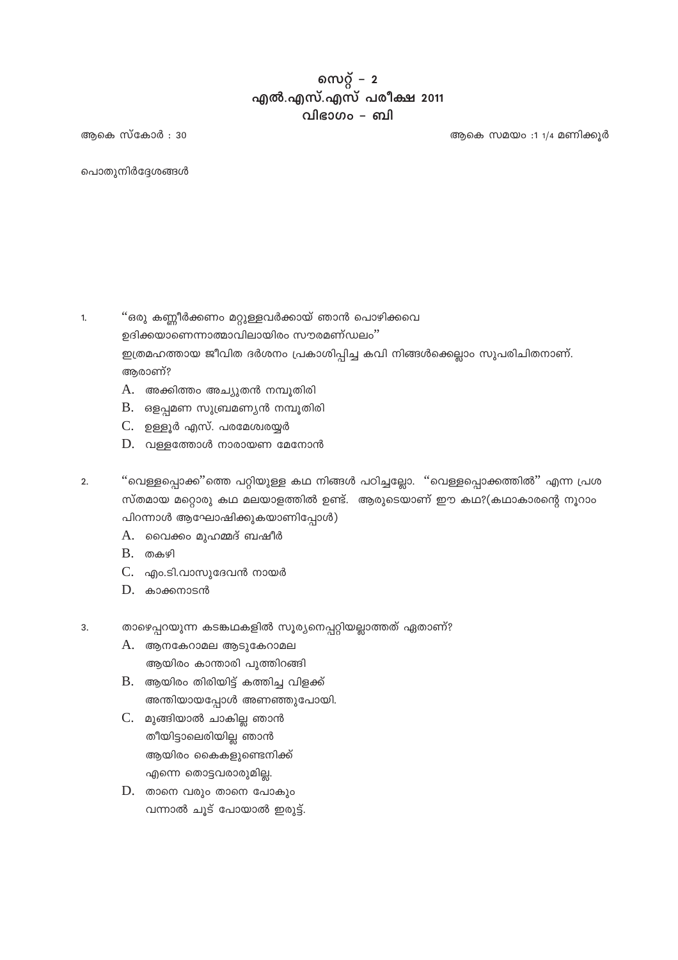## സെറ്റ് –  $2$ എൽ.എസ്.എസ് പരീക്ഷ 2011 വിഭാഗം – ബി

ആകെ സ്കോർ : 30

ആകെ സമയം :1 1/4 മണിക്കുർ

പൊതുനിർദ്ദേശങ്ങൾ

''ഒരു കണ്ണീർക്കണം മറ്റുള്ളവർക്കായ് ഞാൻ പൊഴിക്കവെ  $\overline{1}$ . ഉദിക്കയാണെന്നാത്മാവിലായിരം സൗരമണ്ഡലം" ഇത്രമഹത്തായ ജീവിത ദർശനം പ്രകാശിപ്പിച്ച കവി നിങ്ങൾക്കെല്ലാം സുപരിചിതനാണ്. ആരാണ്?

- A. അക്കിത്തം അച്യുതൻ നമ്പൂതിരി
- $B.$  ഒളപ്പമണ സുബ്രമണ്യൻ നമ്പൂതിരി
- C. ഉള്ളൂർ എസ്. പരമേശ്വരയ്യർ
- $D.$  വള്ളത്തോൾ നാരായണ മേനോൻ
- ''വെള്ളപ്പൊക്ക''ത്തെ പറ്റിയുള്ള കഥ നിങ്ങൾ പഠിച്ചല്ലോ. ''വെള്ളപ്പൊക്കത്തിൽ'' എന്ന പ്രശ  $\mathcal{L}$ സ്തമായ മറ്റൊരു കഥ മലയാളത്തിൽ ഉണ്ട്. ആരുടെയാണ് ഈ കഥ?(കഥാകാരന്റെ നൂറാം പിറന്നാൾ ആഘോഷിക്കുകയാണിപ്പോൾ)
	- A. വൈക്കം മുഹമ്മദ് ബഷീർ
	- $B.$  തകഴി
	- $C.$  എം.ടി.വാസുദേവൻ നായർ
	- $D.$  കാക്കനാടൻ
- താഴെപ്പറയുന്ന കടങ്കഥകളിൽ സൂര്യനെപ്പറ്റിയല്ലാത്തത് ഏതാണ്? 3.
	- $A.$  ആനകേറാമല ആടുകേറാമല ആയിരം കാന്താരി പുത്തിറങ്ങി
	- $B.$  ആയിരം തിരിയിട്ട് കത്തിച്ച വിളക്ക് അന്തിയായപ്പോൾ അണഞ്ഞുപോയി.
	- C. മുങ്ങിയാൽ ചാകില്ല ഞാൻ തീയിട്ടാലെരിയില്ല ഞാൻ ആയിരം കൈകളുണ്ടെനിക്ക് എന്നെ തൊട്ടവരാരുമില്ല.
	- $D.$  താനെ വരും താനെ പോകും വന്നാൽ ചൂട് പോയാൽ ഇരുട്ട്.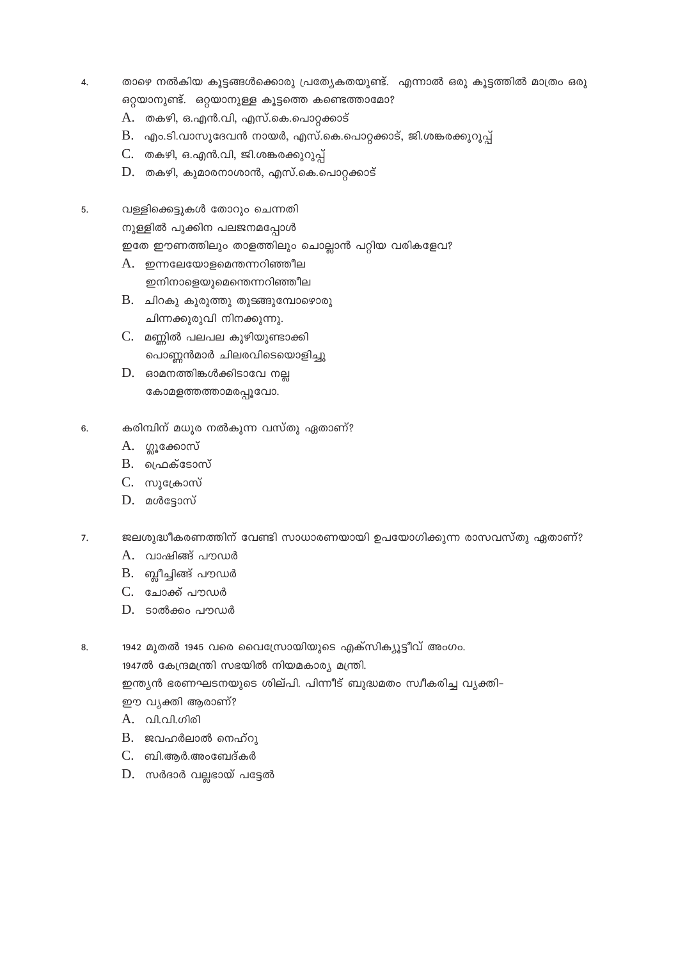- താഴെ നൽകിയ കുട്ടങ്ങൾക്കൊരു പ്രത്യേകതയുണ്ട്. എന്നാൽ ഒരു കൂട്ടത്തിൽ മാത്രം ഒരു  $\overline{4}$ . ഒറ്റയാനുണ്ട്. ഒറ്റയാനുള്ള കൂട്ടത്തെ കണ്ടെത്താമോ?
	- A. തകഴി, ഒ.എൻ.വി, എസ്.കെ.പൊറ്റക്കാട്
	- $B.$  എം.ടി.വാസുദേവൻ നായർ, എസ്.കെ.പൊറ്റക്കാട്, ജി.ശങ്കരക്കുറുപ്പ്
	- C. തകഴി, ഒ.എൻ.വി, ജി.ശങ്കരക്കുറുപ്പ്
	- $D.$  തകഴി, കുമാരനാശാൻ, എസ്.കെ.പൊറ്റക്കാട്
- വള്ളിക്കെട്ടുകൾ തോറും ചെന്നതി  $5<sub>1</sub>$

നുള്ളിൽ പുക്കിന പലജനമപ്പോൾ

ഇതേ ഈണത്തിലും താളത്തിലും ചൊല്ലാൻ പറ്റിയ വരികളേവ?

- $A.$  ഇന്നലേയോളമെന്തന്നറിഞ്ഞീല ഇനിനാളെയുമെന്തെന്നറിഞ്ഞീല
- B. ചിറകു കുരുത്തു തുടങ്ങുമ്പോഴൊരു ചിന്നക്കുരുവി നിനക്കുന്നു.
- C. മണ്ണിൽ പലപല കുഴിയുണ്ടാക്കി പൊണ്ണൻമാർ ചിലരവിടെയൊളിച്ചു
- $D.$  ഓമനത്തിങ്കൾക്കിടാവേ നല്ല കോമളത്തത്താമരപ്പൂവോ.
- 6. കരിമ്പിന് മധുര നൽകുന്ന വസ്തു ഏതാണ്?
	- A. ഗ്ലൂക്കോസ്
	- $B.$  ഹ്രെക്ടോസ്
	- C. സൂക്രോസ്
	- D. മൾട്ടോസ്
- ജലശുദ്ധീകരണത്തിന് വേണ്ടി സാധാരണയായി ഉപയോഗിക്കുന്ന രാസവസ്തു ഏതാണ്? 7.
	- A. വാഷിങ്ങ് പൗഡർ
	- B. ബ്ലീച്ചിങ്ങ് പൗഡർ
	- C. ചോക്ക് പൗഡർ
	- $D.$  ടാൽക്കം പൗഡർ
- 1942 മുതൽ 1945 വരെ വൈസ്രോയിയുടെ എക്സിക്യൂട്ടീവ് അംഗം. 8.

1947ൽ കേന്ദ്രമന്ത്രി സഭയിൽ നിയമകാര്യ മന്ത്രി.

ഇന്ത്യൻ ഭരണഘടനയുടെ ശില്പി. പിന്നീട് ബുദ്ധമതം സ്വീകരിച്ച വ്യക്തി–

- ഈ വ്യക്തി ആരാണ്?
- A. വി.വി.ഗിരി
- B. ജവഹർലാൽ നെഹ്റു
- $C.$  ബി.ആർ.അംബേദ്കർ
- D. സർദാർ വല്ലഭായ് പട്ടേൽ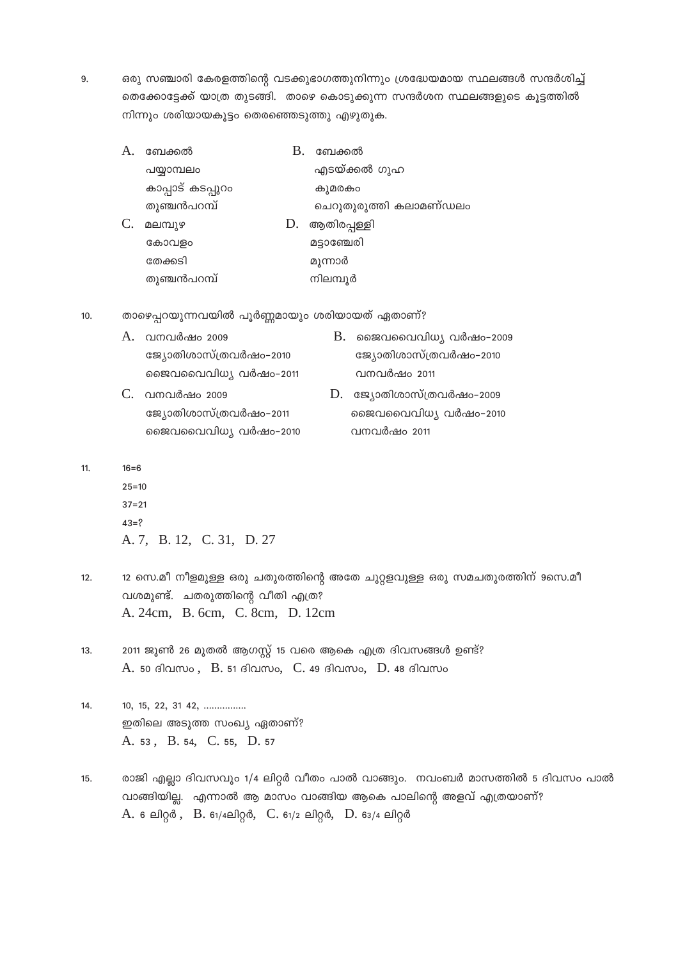ഒരു സഞ്ചാരി കേരളത്തിന്റെ വടക്കുഭാഗത്തുനിന്നും ശ്രദ്ധേയമായ സ്ഥലങ്ങൾ സന്ദർശിച്ച് 9. തെക്കോട്ടേക്ക് യാത്ര തുടങ്ങി. താഴെ കൊടുക്കുന്ന സന്ദർശന സ്ഥലങ്ങളുടെ കൂട്ടത്തിൽ നിന്നും ശരിയായകൂട്ടം തെരഞ്ഞെടുത്തു എഴുതുക.

| ബേക്കൽ            | В. | ബേക്കൽ                 |
|-------------------|----|------------------------|
| പയ്യാമ്പലം        |    | എടയ്ക്കൽ ഗുഹ           |
| കാപ്പാട് കടപ്പുറം |    | കുമരകം                 |
| തുഞ്ചൻപറമ്പ്      |    | ചെറുതുരുത്തി കലാമണ്ഡലം |
| മലമ്പുഴ           | D. | ആതിരപ്പള്ളി            |
| കോവളം             |    | മട്ടാഞ്ചേരി            |
| തേക്കടി           |    | മൂന്നാർ                |
| തുഞ്ചൻപറമ്പ്      |    | നിലമ്പൂർ               |

 $10.$ താഴെപ്പറയുന്നവയിൽ പൂർണ്ണമായും ശരിയായത് ഏതാണ്?

| A. വനവർഷം 2009         | $B.$ ജൈവവൈവിധ്യ വർഷം-2009 |
|------------------------|---------------------------|
| ജ്യോതിശാസ്ത്രവർഷം–2010 | ജ്യോതിശാസ്ത്രവർഷം–2010    |
| ജൈവവൈവിധ്യ വർഷം-2011   | വനവർഷം 2011               |
| C. വനവർഷം 2009         | D. ജ്യോതിശാസ്ത്രവർഷം-2009 |
| ജ്യോതിശാസ്ത്രവർഷം-2011 | ജൈവവൈവിധ്യ വർഷം-2010      |

വനവർഷം 2011

ജൈവവൈവിധ്യ വർഷം-2010

 $16 = 6$  $11.$ 

> $25 = 10$  $37 = 21$  $43 = ?$ A. 7, B. 12, C. 31, D. 27

- $12.$ 12 സെ.മീ നീളമുള്ള ഒരു ചതുരത്തിന്റെ അതേ ചുറ്റളവുള്ള ഒരു സമചതുരത്തിന് 9സെ.മീ വശമുണ്ട്. ചതരുത്തിന്റെ വീതി എത്ര? A. 24cm, B. 6cm, C. 8cm, D. 12cm
- 2011 ജൂൺ 26 മുതൽ ആഗസ്റ്റ് 15 വരെ ആകെ എത്ര ദിവസങ്ങൾ ഉണ്ട്?  $13.$ A. 50 ദിവസം, B. 51 ദിവസം, C. 49 ദിവസം, D. 48 ദിവസം

 $14.$  $10, 15, 22, 31, 42, \ldots$ ഇതിലെ അടുത്ത സംഖ്യ ഏതാണ്? A. 53, B. 54, C. 55, D. 57

രാജി എല്ലാ ദിവസവും 1/4 ലിറ്റർ വീതം പാൽ വാങ്ങും. നവംബർ മാസത്തിൽ 5 ദിവസം പാൽ  $15.$ വാങ്ങിയില്ല. എന്നാൽ ആ മാസം വാങ്ങിയ ആകെ പാലിന്റെ അളവ് എത്രയാണ്? A. 6 ലിറ്റർ, B. 61/4ലിറ്റർ, C. 61/2 ലിറ്റർ, D. 63/4 ലിറ്റർ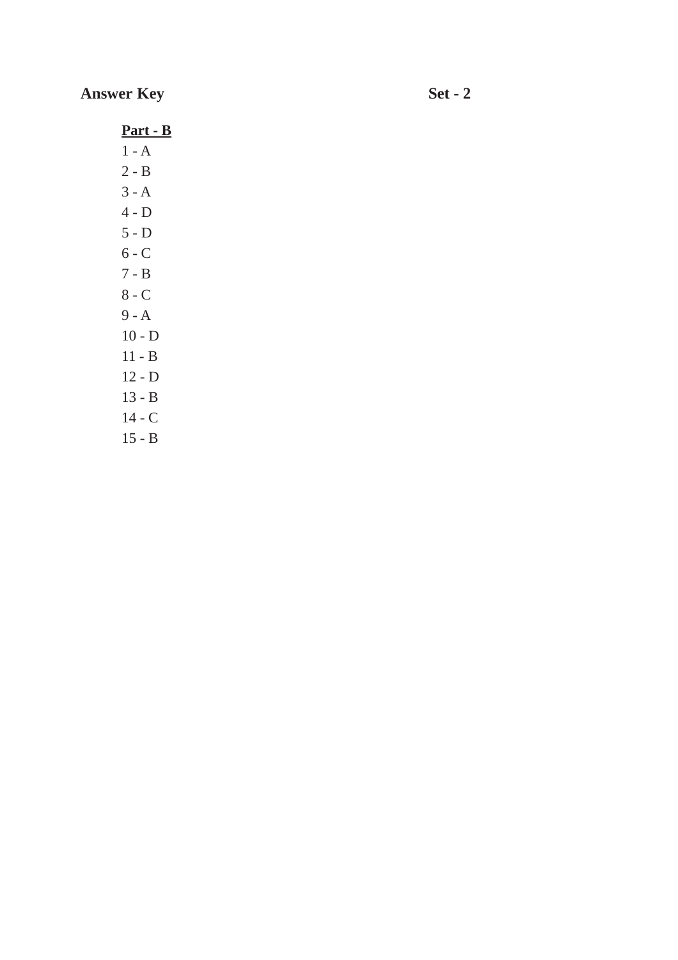# **Answer Key Set - 2**

**Part - B**

- 1 A
- 2 B
- 3 A
- 4 D
- 5 D
- $6 C$
- 7 B 8 - C
- 9 A
- 10 D
- 11 B
- 12 D
- 13 B
- 14 C
- 15 B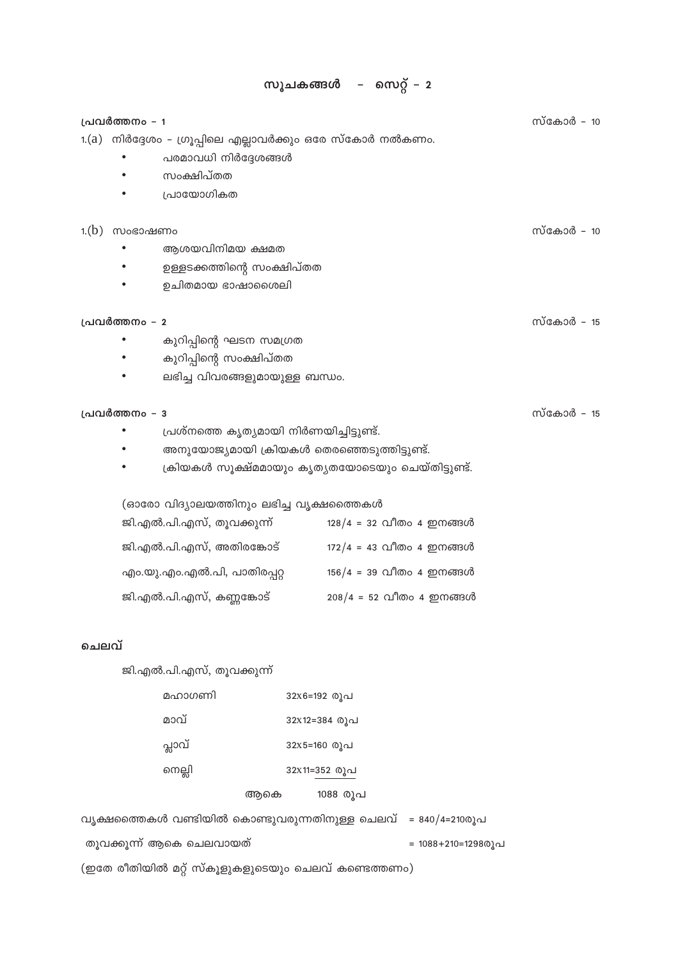#### സ്കോർ - 10 പ്രവർത്തനം - 1 1.(a) നിർദ്ദേശം - ഗ്രൂപ്പിലെ എല്ലാവർക്കും ഒരേ സ്കോർ നൽകണം. പരമാവധി നിർദ്ദേശങ്ങൾ  $\bullet$  $\bullet$ സംക്ഷിപ്തത പ്രായോഗികത  $\bullet$ സ്കോർ - 10  $1.(b)$  സംഭാഷണം  $\bullet$ ആശയവിനിമയ ക്ഷമത  $\bullet$ ഉള്ളടക്കത്തിന്റെ സംക്ഷിപ്തത  $\bullet$ ഉചിതമായ ഭാഷാശൈലി സ്കോർ - 15 പ്രവർത്തനം - 2 കുറിപ്പിന്റെ ഘടന സമഗ്രത  $\bullet$ കുറിപ്പിന്റെ സംക്ഷിപ്തത  $\bullet$  $\bullet$ ലഭിച്ച വിവരങ്ങളുമായുള്ള ബന്ധം.

#### പ്രവർത്തനം - 3

- പ്രശ്നത്തെ കൃത്യമായി നിർണയിച്ചിട്ടുണ്ട്.  $\bullet$
- $\bullet$ അനുയോജ്യമായി ക്രിയകൾ തെരഞ്ഞെടുത്തിട്ടുണ്ട്.
- ക്രിയകൾ സൂക്ഷ്മമായും കൃത്യതയോടെയും ചെയ്തിട്ടുണ്ട്.  $\bullet$

(ഓരോ വിദ്യാലയത്തിനും ലഭിച്ച വൃക്ഷത്തൈകൾ

| ജി.എൽ.പി.എസ്, തൂവക്കുന്ന്   | $128/4 = 32$ വീതം 4 ഇനങ്ങൾ |
|-----------------------------|----------------------------|
| ജി.എൽ.പി.എസ്, അതിരങ്കോട്    | $172/4 = 43$ വീതം 4 ഇനങ്ങൾ |
| എം.യു.എം.എൽ.പി, പാതിരപ്പറ്റ | $156/4 = 39$ വീതം 4 ഇനങ്ങൾ |
| ജി.എൽ.പി.എസ്, കണ്ണങ്കോട്    | $208/4 = 52$ വീതം 4 ഇനങ്ങൾ |

#### ചെലവ്

ജി.എൽ.പി.എസ്, തൂവക്കുന്ന്

| മഹാഗണി | 32x6=192 രൂപ    |
|--------|-----------------|
| മാവ്   | 32x12=384 രൂപ   |
| പ്ലാവ് | 32x5=160 രൂപ    |
| നെല്ലി | 32x11=352 രൂപ   |
|        | 1088 രൂപ<br>ആകെ |

| വ്യക്ഷത്തൈകൾ വണ്ടിയിൽ കൊണ്ടുവരുന്നതിനുള്ള ചെലവ് = 840/4=210രൂപ |                    |
|----------------------------------------------------------------|--------------------|
| തുവക്കുന്ന് ആകെ ചെലവായത്                                       | = 1088+210=12980)പ |
| (ഇതേ രീതിയിൽ മറ്റ് സ്കൂളുകളുടെയും ചെലവ് കണ്ടെത്തണം)            |                    |

സ്കോർ - 15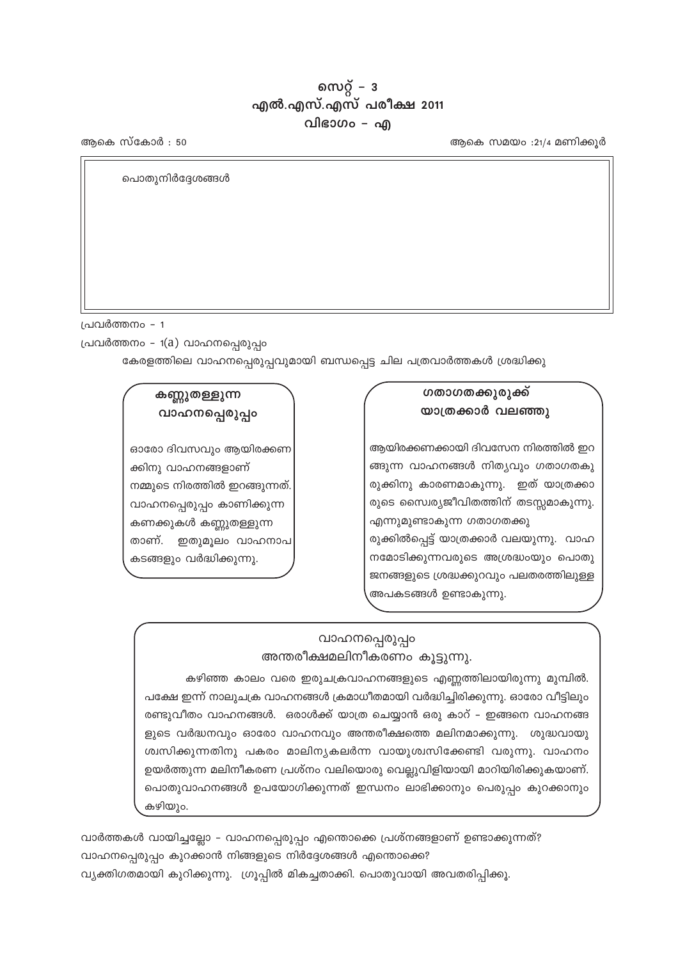വാർത്തകൾ വായിച്ചല്ലോ – വാഹനപ്പെരുപ്പം എന്തൊക്കെ പ്രശ്നങ്ങളാണ് ഉണ്ടാക്കുന്നത്? വാഹനപ്പെരുപ്പം കുറക്കാൻ നിങ്ങളുടെ നിർദ്ദേശങ്ങൾ എന്തൊക്കെ? വ്യക്തിഗതമായി കുറിക്കുന്നു. ഗ്രൂപ്പിൽ മികച്ചതാക്കി. പൊതുവായി അവതരിപ്പിക്കൂ.

കഴിഞ്ഞ കാലം വരെ ഇരുചക്രവാഹനങ്ങളുടെ എണ്ണത്തിലായിരുന്നു മുമ്പിൽ. പക്ഷേ ഇന്ന് നാലുചക്ര വാഹനങ്ങൾ ക്രമാധീതമായി വർദ്ധിച്ചിരിക്കുന്നു. ഓരോ വീട്ടിലും രണ്ടുവീതം വാഹനങ്ങൾ. ഒരാൾക്ക് യാത്ര ചെയ്യാൻ ഒരു കാറ് – ഇങ്ങനെ വാഹനങ്ങ ളുടെ വർദ്ധനവും ഓരോ വാഹനവും അന്തരീക്ഷത്തെ മലിനമാക്കുന്നു. ശുദ്ധവായു ശ്വസിക്കുന്നതിനു പകരം മാലിനൃകലർന്ന വായുശ്വസിക്കേണ്ടി വരുന്നു. വാഹനം ഉയർത്തുന്ന മലിനീകരണ പ്രശ്നം വലിയൊരു വെല്ലുവിളിയായി മാറിയിരിക്കുകയാണ്. പൊതുവാഹനങ്ങൾ ഉപയോഗിക്കുന്നത് ഇന്ധനം ലാഭിക്കാനും പെരുപ്പം കുറക്കാനും കഴിയും.

#### വാഹനപ്പെരുപ്പം അന്തരീക്ഷമലിനീകരണം കൂട്ടുന്നു.

ഓരോ ദിവസവും ആയിരക്കണ ക്കിനു വാഹനങ്ങളാണ് നമ്മുടെ നിരത്തിൽ ഇറങ്ങുന്നത്. വാഹനപ്പെരുപ്പം കാണിക്കുന്ന കണക്കുകൾ കണ്ണുതള്ളുന്ന താണ്. ഇതുമൂലം വാഹനാപ കടങ്ങളും വർദ്ധിക്കുന്നു.

# കണ്ണുതള്ളുന്ന

# വാഹനപ്പെരുപ്പം

# ഗതാഗതക്കുരുക്ക്

ആയിരക്കണക്കായി ദിവസേന നിരത്തിൽ ഇറ ങ്ങുന്ന വാഹനങ്ങൾ നിത്യവും ഗതാഗതകു രുക്കിനു കാരണമാകുന്നു. ഇത് യാത്രക്കാ രുടെ സൈര്യജീവിതത്തിന് തടസ്സമാകുന്നു. എന്നുമുണ്ടാകുന്ന ഗതാഗതക്കു രുക്കിൽപ്പെട്ട് യാത്രക്കാർ വലയുന്നു. വാഹ നമോടിക്കുന്നവരുടെ അശ്രദ്ധംയും പൊതു ജനങ്ങളുടെ ശ്രദ്ധക്കുറവും പലതരത്തിലുള്ള

അപകടങ്ങൾ ഉണ്ടാകുന്നു.

യാത്രക്കാർ വലഞ്ഞു

പ്രവർത്തനം - 1(a) വാഹനപ്പെരുപ്പം

പൊതുനിർദ്ദേശങ്ങൾ

ആകെ സ്കോർ : 50

പ്രവർത്തനം - 1

ആകെ സമയം :21/4 മണിക്കൂർ

സെറ്റ് –  $3$ എൽ.എസ്.എസ് പരീക്ഷ 2011 വിഭാഗം – എ

കേരളത്തിലെ വാഹനപ്പെരുപ്പവുമായി ബന്ധപ്പെട്ട ചില പത്രവാർത്തകൾ ശ്രദ്ധിക്കു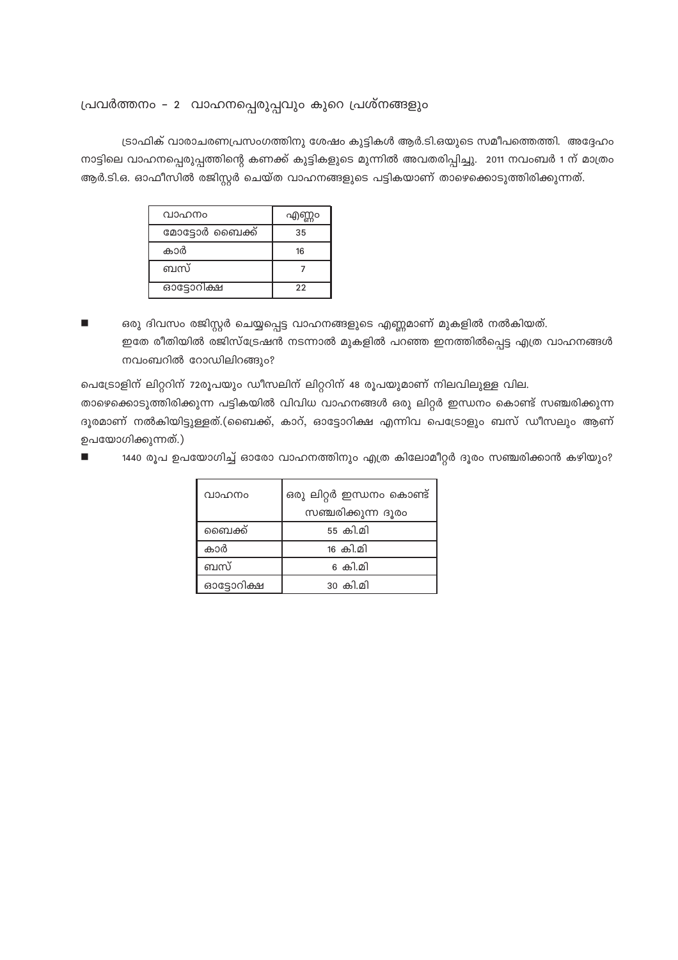## പ്രവർത്തനം - 2 വാഹനപ്പെരുപ്പവും കുറെ പ്രശ്നങ്ങളും

ട്രാഫിക് വാരാചരണപ്രസംഗത്തിനു ശേഷം കുട്ടികൾ ആർ.ടി.ഒയുടെ സമീപത്തെത്തി. അദ്ദേഹം നാട്ടിലെ വാഹനപ്പെരുപ്പത്തിന്റെ കണക്ക് കുട്ടികളുടെ മുന്നിൽ അവതരിപ്പിച്ചു. 2011 നവംബർ 1 ന് മാത്രം ആർ.ടി.ഒ. ഓഫീസിൽ രജിസ്റ്റർ ചെയ്ത വാഹനങ്ങളുടെ പട്ടികയാണ് താഴെക്കൊടുത്തിരിക്കുന്നത്.

| വാഹനം          | എണ്ണം |
|----------------|-------|
| മോട്ടോർ ബൈക്ക് | 35    |
| കാർ            | 16    |
| ബസ്            |       |
| ഓട്ടോറിക്ഷ     | 22    |

ഒരു ദിവസം രജിസ്റ്റർ ചെയ്യപ്പെട്ട വാഹനങ്ങളുടെ എണ്ണമാണ് മുകളിൽ നൽകിയത്. ഇതേ രീതിയിൽ രജിസ്ട്രേഷൻ നടന്നാൽ മുകളിൽ പറഞ്ഞ ഇനത്തിൽപ്പെട്ട എത്ര വാഹനങ്ങൾ നവംബറിൽ റോഡിലിറങ്ങും?

പെട്രോളിന് ലിറ്ററിന് 72രൂപയും ഡീസലിന് ലിറ്ററിന് 48 രൂപയുമാണ് നിലവിലുള്ള വില.

താഴെക്കൊടുത്തിരിക്കുന്ന പട്ടികയിൽ വിവിധ വാഹനങ്ങൾ ഒരു ലിറ്റർ ഇന്ധനം കൊണ്ട് സഞ്ചരിക്കുന്ന ദൂരമാണ് നൽകിയിട്ടുള്ളത്.(ബൈക്ക്, കാറ്, ഓട്ടോറിക്ഷ എന്നിവ പെട്രോളും ബസ് ഡീസലും ആണ് ഉപയോഗിക്കുന്നത്.)

1440 രൂപ ഉപയോഗിച്ച് ഓരോ വാഹനത്തിനും എത്ര കിലോമീറ്റർ ദൂരം സഞ്ചരിക്കാൻ കഴിയും?

| വാഹനം      | ഒരു ലിറ്റർ ഇന്ധനം കൊണ്ട് |
|------------|--------------------------|
|            | സഞ്ചരിക്കുന്ന ദൂരം       |
| ബൈക്ക്     | 55 കി.മി                 |
| കാർ        | <u> 16 കി.മി</u>         |
| ബസ്        | 6 കി.മി                  |
| ഓട്ടോറിക്ഷ | 30 കി.മ <u>ി</u>         |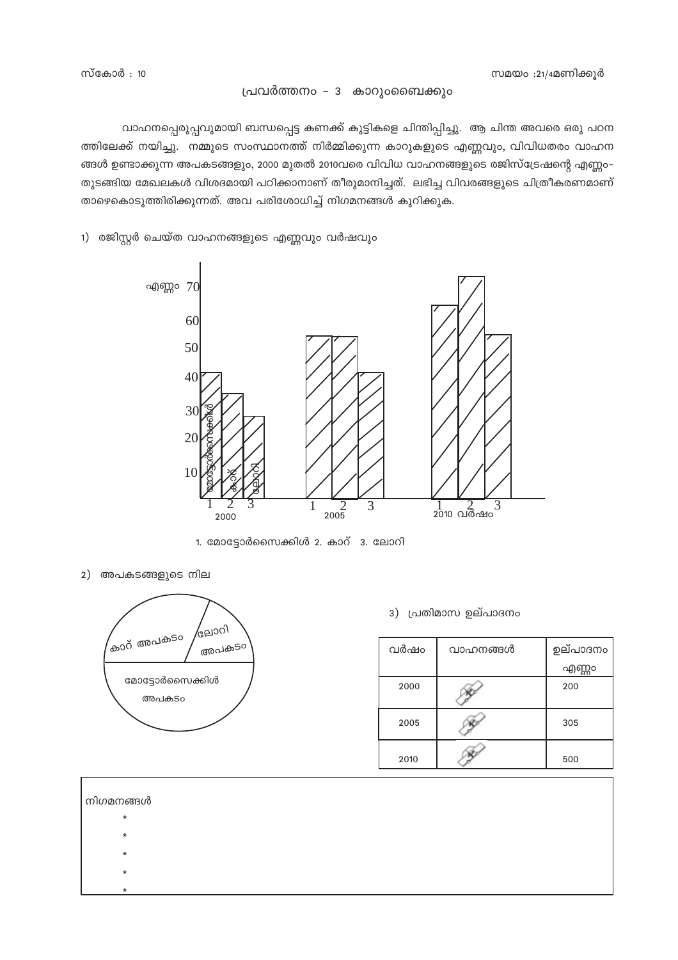#### പ്രവർത്തനം – 3 കാറുംബൈക്കും

വാഹനപ്പെരുപ്പവുമായി ബന്ധപ്പെട്ട കണക്ക് കുട്ടികളെ ചിന്തിപ്പിച്ചു. ആ ചിന്ത അവരെ ഒരു പഠന ത്തിലേക്ക് നയിച്ചു. നമ്മുടെ സംസ്ഥാനത്ത് നിർമ്മിക്കുന്ന കാറുകളുടെ എണ്ണവും, വിവിധതരം വാഹന ങ്ങൾ ഉണ്ടാക്കുന്ന അപകടങ്ങളും, 2000 മുതൽ 2010വരെ വിവിധ വാഹനങ്ങളുടെ രജിസ്ട്രേഷന്റെ എണ്ണം– തുടങ്ങിയ മേഖലകൾ വിശദമായി പഠിക്കാനാണ് തീരുമാനിച്ചത്. ലഭിച്ച വിവരങ്ങളുടെ ചിത്രീകരണമാണ് താഴെകൊടുത്തിരിക്കുന്നത്. അവ പരിശോധിച്ച് നിഗമനങ്ങൾ കുറിക്കുക.





1. മോട്ടോർസൈക്കിൾ 2. കാറ് 3. ലോറി

2) അപകടങ്ങളുടെ നില



3) പ്രതിമാസ ഉല്പാദനം

| വർഷം | വാഹനങ്ങൾ | ഉല്പാദനം |  |
|------|----------|----------|--|
|      |          | എണ്ണം    |  |
| 2000 |          | 200      |  |
| 2005 |          | 305      |  |
| 2010 |          | 500      |  |

| നിഗമനങ്ങൾ |  |  |  |
|-----------|--|--|--|
| $\ast$    |  |  |  |
| $\ast$    |  |  |  |
| $\ast$    |  |  |  |
| $\ast$    |  |  |  |
| $\star$   |  |  |  |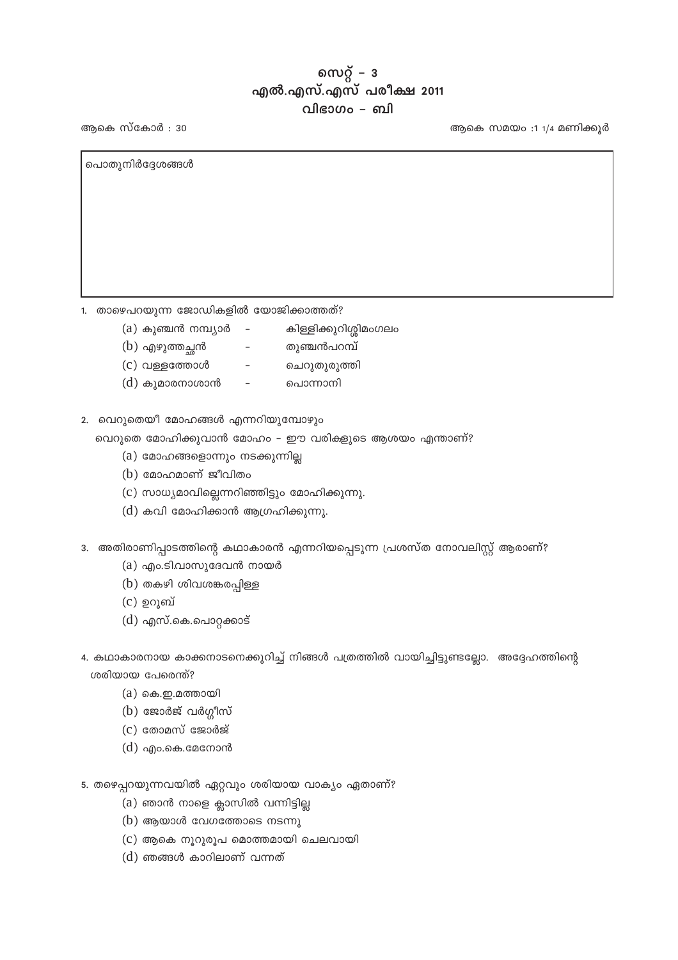## സെറ്റ് –  $3$ എൽ.എസ്.എസ് പരീക്ഷ 2011 വിഭാഗം – ബി

ആകെ സമയം :1 1/4 മണിക്കൂർ

ആകെ സ്കോർ : 30

പൊതുനിർദ്ദേശങ്ങൾ

1. താഴെപറയുന്ന ജോഡികളിൽ യോജിക്കാത്തത്?

(a) കുഞ്ചൻ നമ്പ്യാർ

(b) എഴുത്തച്ഛൻ

- കിള്ളിക്കുറിശ്ശിമംഗലം തുഞ്ചൻപറമ്പ്
- $(c)$  വള്ളത്തോൾ  $\equiv$
- ചെറുതുരുത്തി പൊന്നാനി
- $(d)$  കുമാരനാശാൻ  $\equiv$
- 2. വെറുതെയീ മോഹങ്ങൾ എന്നറിയുമ്പോഴും

വെറുതെ മോഹിക്കുവാൻ മോഹം - ഈ വരികളുടെ ആശയം എന്താണ്?

- (a) മോഹങ്ങളൊന്നും നടക്കുന്നില്ല
- $(b)$  മോഹമാണ് ജീവിതം
- (c) സാധ്യമാവില്ലെന്നറിഞ്ഞിട്ടും മോഹിക്കുന്നു.

 $\sim$   $-$ 

- $(d)$  കവി മോഹിക്കാൻ ആഗ്രഹിക്കുന്നു.
- 3. അതിരാണിപ്പാടത്തിന്റെ കഥാകാരൻ എന്നറിയപ്പെടുന്ന പ്രശസ്ത നോവലിസ്റ്റ് ആരാണ്?
	- (a) എം.ടി.വാസുദേവൻ നായർ
	- $(b)$  തകഴി ശിവശങ്കരപ്പിള്ള
	- $(c)$  ഉറൂബ്
	- $(d)$  എസ്.കെ.പൊറ്റക്കാട്
- 4. കഥാകാരനായ കാക്കനാടനെക്കുറിച്ച് നിങ്ങൾ പത്രത്തിൽ വായിച്ചിട്ടുണ്ടല്ലോ. അദ്ദേഹത്തിന്റെ ശരിയായ പേരെന്ത്?
	- $(a)$  കെ.ഇ.മത്തായി
	- $(b)$  ജോർജ് വർഗ്ഗീസ്
	- $(c)$  തോമസ് ജോർജ്
	- $(d)$  എം.കെ.മേനോൻ
- 5. തഴെപ്പറയുന്നവയിൽ ഏറ്റവും ശരിയായ വാക്യം ഏതാണ്?
	- $(a)$  ഞാൻ നാളെ ക്ലാസിൽ വന്നിട്ടില്ല
	- $(b)$  ആയാൾ വേഗത്തോടെ നടന്നു
	- (c) ആകെ നൂറുരൂപ മൊത്തമായി ചെലവായി
	- $(d)$  ഞങ്ങൾ കാറിലാണ് വന്നത്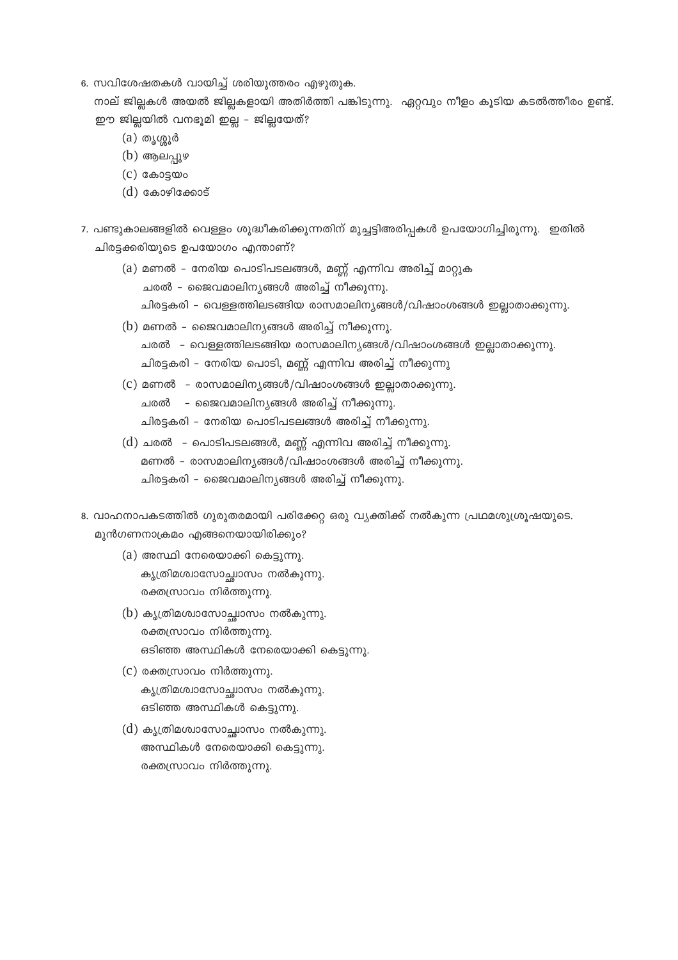6. സവിശേഷതകൾ വായിച്ച് ശരിയുത്തരം എഴുതുക.

നാല് ജില്ലകൾ അയൽ ജില്ലകളായി അതിർത്തി പങ്കിടുന്നു. ഏറ്റവും നീളം കൂടിയ കടൽത്തീരം ഉണ്ട്. ഈ ജില്ലയിൽ വനഭൂമി ഇല്ല - ജില്ലയേത്?

- $(a)$  തൃശ്ശൂർ
- $(b)$  ആലപുഴ
- $(c)$  കോട്ടയം
- $(d)$  കോഴിക്കോട്
- 7. പണ്ടുകാലങ്ങളിൽ വെള്ളം ശുദ്ധീകരിക്കുന്നതിന് മുച്ചട്ടിഅരിപ്പകൾ ഉപയോഗിച്ചിരുന്നു. ഇതിൽ ചിരട്ടക്കരിയുടെ ഉപയോഗം എന്താണ്?
	- (a) മണൽ നേരിയ പൊടിപടലങ്ങൾ, മണ്ണ് എന്നിവ അരിച്ച് മാറ്റുക ചരൽ – ജൈവമാലിനൃങ്ങൾ അരിച്ച് നീക്കുന്നു. ചിരട്ടകരി – വെള്ളത്തിലടങ്ങിയ രാസമാലിനൃങ്ങൾ/വിഷാംശങ്ങൾ ഇല്ലാതാക്കുന്നു.
	- (b) മണൽ ജൈവമാലിന്യങ്ങൾ അരിച്ച് നീക്കുന്നു. ചരൽ – വെള്ളത്തിലടങ്ങിയ രാസമാലിന്യങ്ങൾ/വിഷാംശങ്ങൾ ഇല്ലാതാക്കുന്നു. ചിരട്ടകരി – നേരിയ പൊടി, മണ്ണ് എന്നിവ അരിച്ച് നീക്കുന്നു
	- $(c)$  മണൽ രാസമാലിനൃങ്ങൾ/വിഷാംശങ്ങൾ ഇല്ലാതാക്കുന്നു. ചരൽ – ജൈവമാലിനൃങ്ങൾ അരിച്ച് നീക്കുന്നു. ചിരട്ടകരി – നേരിയ പൊടിപടലങ്ങൾ അരിച്ച് നീക്കുന്നു.
	- (d) ചരൽ പൊടിപടലങ്ങൾ, മണ്ണ് എന്നിവ അരിച്ച് നീക്കുന്നു. മണൽ – രാസമാലിന്യങ്ങൾ/വിഷാംശങ്ങൾ അരിച്ച് നീക്കുന്നു. ചിരട്ടകരി – ജൈവമാലിന്യങ്ങൾ അരിച്ച് നീക്കുന്നു.
- 8. വാഹനാപകടത്തിൽ ഗുരുതരമായി പരിക്കേറ്റ ഒരു വ്യക്തിക്ക് നൽകുന്ന പ്രഥമശുശ്രൂഷയുടെ. മുൻഗണനാക്രമം എങ്ങനെയായിരിക്കും?
	- $(a)$  അസ്ഥി നേരെയാക്കി കെട്ടുന്നു. കൃത്രിമശ്വാസോച്ചാസം നൽകുന്നു. രക്തസ്രാവം നിർത്തുന്നു.
	- (b) കൃത്രിമശ്വാസോച്ചാസം നൽകുന്നു. രക്തസ്രാവം നിർത്തുന്നു. ഒടിഞ്ഞ അസ്ഥികൾ നേരെയാക്കി കെട്ടുന്നു.
	- (c) രക്തസ്രാവം നിർത്തുന്നു. കൃത്രിമശ്വാസോച്ഛാസം നൽകുന്നു. ഒടിഞ്ഞ അസ്ഥികൾ കെട്ടുന്നു.
	- (d) കൃത്രിമശ്വാസോച്ഛാസം നൽകുന്നു. അസ്ഥികൾ നേരെയാക്കി കെട്ടുന്നു. രക്തസ്രാവം നിർത്തുന്നു.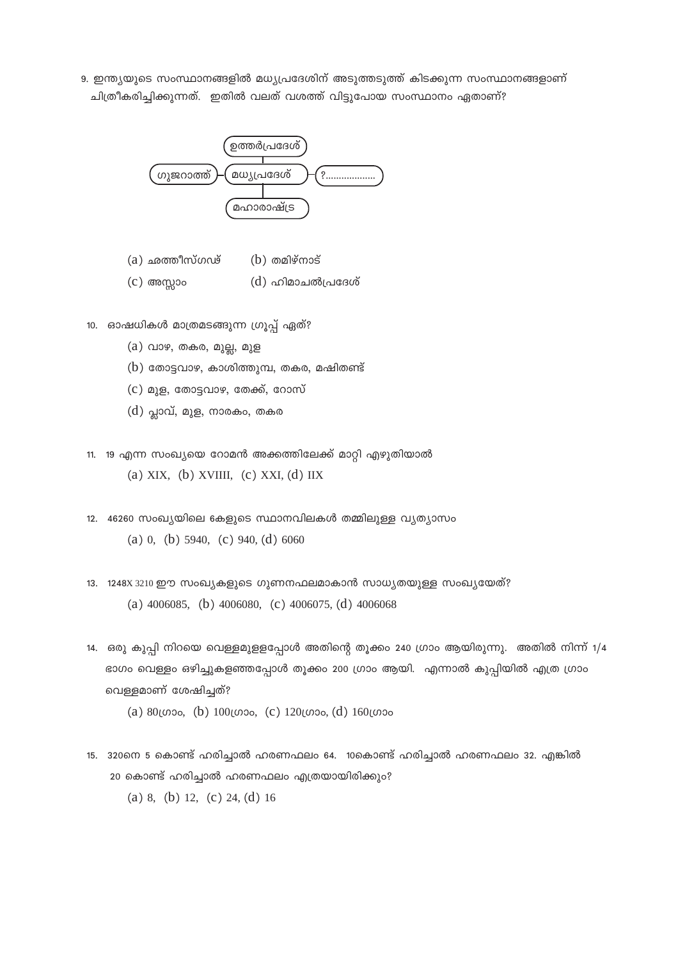9. ഇന്ത്യയുടെ സംസ്ഥാനങ്ങളിൽ മധ്യപ്രദേശിന് അടുത്തടുത്ത് കിടക്കുന്ന സംസ്ഥാനങ്ങളാണ് ചിത്രീകരിച്ചിക്കുന്നത്. ഇതിൽ വലത് വശത്ത് വിട്ടുപോയ സംസ്ഥാനം ഏതാണ്?



- (a) ഛത്തീസ്ഗഢ്  $(b)$  തമിഴ്നാട്
- $(c)$  അസ്സാം (d) ഹിമാചൽപ്രദേശ്
- 10. ഓഷധികൾ മാത്രമടങ്ങുന്ന ഗ്രൂപ്പ് ഏത്?
	- $(a)$  വാഴ, തകര, മുല്ല, മുള
	- $(b)$  തോട്ടവാഴ, കാശിത്തുമ്പ, തകര, മഷിതണ്ട്
	- $(c)$  മുള, തോട്ടവാഴ, തേക്ക്, റോസ്
	- $(d)$  പ്ലാവ്, മുള, നാരകം, തകര
- 11. 19 എന്ന സംഖ്യയെ റോമൻ അക്കത്തിലേക്ക് മാറ്റി എഴുതിയാൽ

(a) XIX, (b) XVIIII, (c) XXI, (d) IIX

- 12. 46260 സംഖ്യയിലെ കേളുടെ സ്ഥാനവിലകൾ തമ്മിലുള്ള വ്യത്യാസം (a) 0, (b) 5940, (c) 940, (d) 6060
- 13. 1248X 3210 ഈ സംഖ്യകളുടെ ഗുണനഫലമാകാൻ സാധ്യതയുള്ള സംഖ്യയേത്? (a)  $4006085$ , (b)  $4006080$ , (c)  $4006075$ , (d)  $4006068$
- 14. ഒരു കുപ്പി നിറയെ വെള്ളമുളളപ്പോൾ അതിന്റെ തൂക്കം 240 ഗ്രാം ആയിരുന്നു. അതിൽ നിന്ന് 1/4 ഭാഗം വെള്ളം ഒഴിച്ചുകളഞ്ഞപ്പോൾ തൂക്കം 200 ഗ്രാം ആയി. എന്നാൽ കുപ്പിയിൽ എത്ര ഗ്രാം വെള്ളമാണ് ശേഷിച്ചത്?
	- (a) 80 (σορ, (b) 100 (σορ, (c) 120 (σορ, (d) 160 (σορ
- 15. 320നെ 5 കൊണ്ട് ഹരിച്ചാൽ ഹരണഫലം 64. 10കൊണ്ട് ഹരിച്ചാൽ ഹരണഫലം 32. എങ്കിൽ 20 കൊണ്ട് ഹരിച്ചാൽ ഹരണഫലം എത്രയായിരിക്കും? (a) 8, (b) 12, (c) 24, (d) 16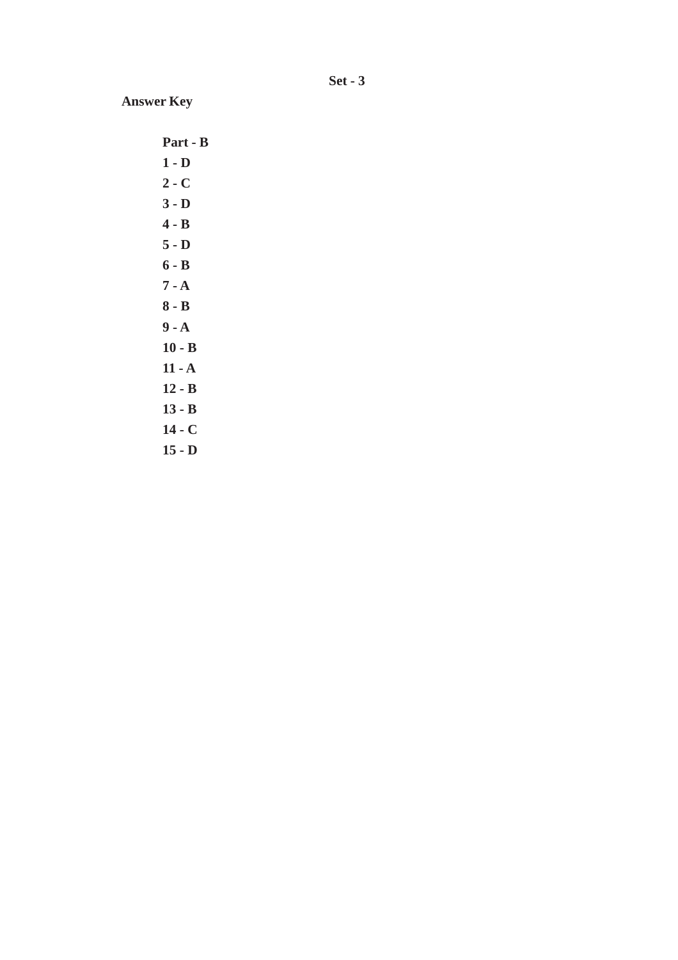**Set - 3**

**Answer Key**

**Part - B 1 - D 2 - C 3 - D 4 - B 5 - D 6 - B 7 - A 8 - B 9 - A 10 - B 11 - A 12 - B 13 - B 14 - C**

**15 - D**